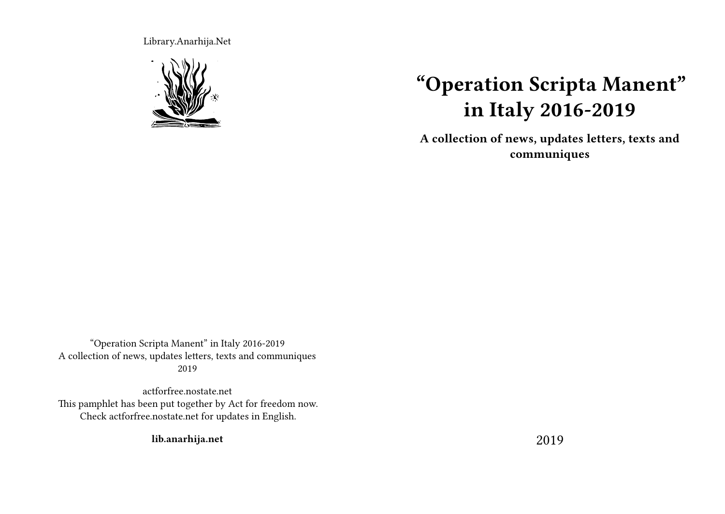Library.Anarhija.Net



# **"Operation Scripta Manent" in Italy 2016-2019**

**A collection of news, updates letters, texts and communiques**

"Operation Scripta Manent" in Italy 2016-2019 A collection of news, updates letters, texts and communiques 2019

actforfree.nostate.net This pamphlet has been put together by Act for freedom now. Check actforfree.nostate.net for updates in English.

**lib.anarhija.net**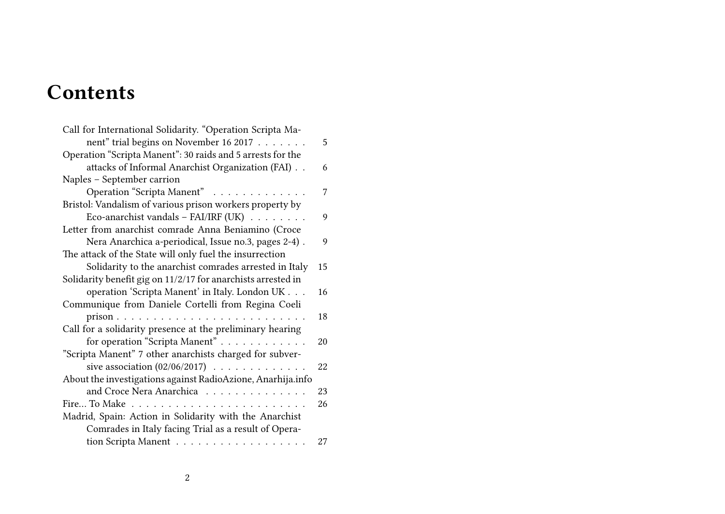# **Contents**

| Call for International Solidarity. "Operation Scripta Ma-    |                |
|--------------------------------------------------------------|----------------|
| nent" trial begins on November 16 2017                       | 5              |
| Operation "Scripta Manent": 30 raids and 5 arrests for the   |                |
| attacks of Informal Anarchist Organization (FAI)             | 6              |
| Naples - September carrion                                   |                |
| Operation "Scripta Manent"                                   | $\overline{7}$ |
| Bristol: Vandalism of various prison workers property by     |                |
| Eco-anarchist vandals - FAI/IRF (UK) $\ldots \ldots$         | 9              |
| Letter from anarchist comrade Anna Beniamino (Croce          |                |
| Nera Anarchica a-periodical, Issue no.3, pages 2-4).         | 9              |
| The attack of the State will only fuel the insurrection      |                |
| Solidarity to the anarchist comrades arrested in Italy       | 15             |
| Solidarity benefit gig on 11/2/17 for anarchists arrested in |                |
| operation 'Scripta Manent' in Italy. London UK               | 16             |
| Communique from Daniele Cortelli from Regina Coeli           |                |
|                                                              | 18             |
| Call for a solidarity presence at the preliminary hearing    |                |
| for operation "Scripta Manent"                               | 20             |
| "Scripta Manent" 7 other anarchists charged for subver-      |                |
| sive association $(02/06/2017)$                              | 22             |
| About the investigations against RadioAzione, Anarhija.info  |                |
| and Croce Nera Anarchica                                     | 23             |
|                                                              | 26             |
| Madrid, Spain: Action in Solidarity with the Anarchist       |                |
| Comrades in Italy facing Trial as a result of Opera-         |                |
| tion Scripta Manent $\dots$                                  | 27             |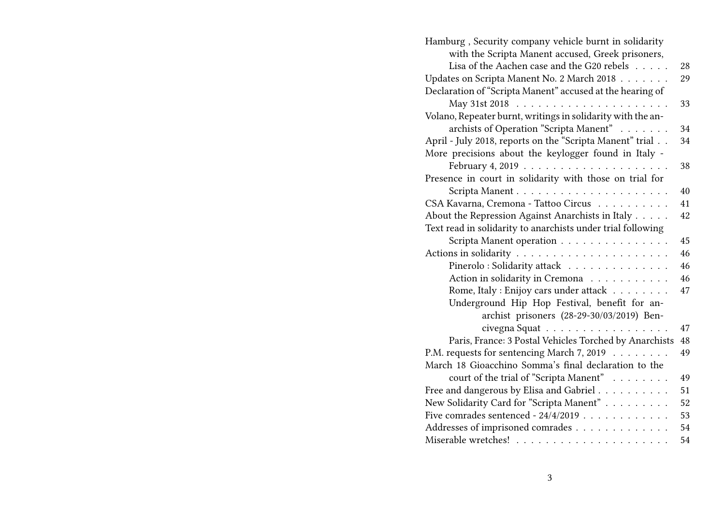| Hamburg, Security company vehicle burnt in solidarity       |    |
|-------------------------------------------------------------|----|
| with the Scripta Manent accused, Greek prisoners,           |    |
| Lisa of the Aachen case and the G20 rebels                  | 28 |
| Updates on Scripta Manent No. 2 March 2018                  | 29 |
| Declaration of "Scripta Manent" accused at the hearing of   |    |
|                                                             | 33 |
| Volano, Repeater burnt, writings in solidarity with the an- |    |
| archists of Operation "Scripta Manent"                      | 34 |
| April - July 2018, reports on the "Scripta Manent" trial    | 34 |
| More precisions about the keylogger found in Italy -        |    |
|                                                             | 38 |
| Presence in court in solidarity with those on trial for     |    |
|                                                             | 40 |
| CSA Kavarna, Cremona - Tattoo Circus                        | 41 |
| About the Repression Against Anarchists in Italy            | 42 |
| Text read in solidarity to anarchists under trial following |    |
| Scripta Manent operation                                    | 45 |
|                                                             | 46 |
| Pinerolo: Solidarity attack                                 | 46 |
| Action in solidarity in Cremona                             | 46 |
| Rome, Italy : Enijoy cars under attack                      | 47 |
| Underground Hip Hop Festival, benefit for an-               |    |
| archist prisoners (28-29-30/03/2019) Ben-                   |    |
| civegna Squat                                               | 47 |
| Paris, France: 3 Postal Vehicles Torched by Anarchists      | 48 |
| P.M. requests for sentencing March 7, 2019                  | 49 |
| March 18 Gioacchino Somma's final declaration to the        |    |
| court of the trial of "Scripta Manent"                      | 49 |
| Free and dangerous by Elisa and Gabriel                     | 51 |
| New Solidarity Card for "Scripta Manent"                    | 52 |
| Five comrades sentenced - $24/4/2019$                       | 53 |
| Addresses of imprisoned comrades                            | 54 |
|                                                             | 54 |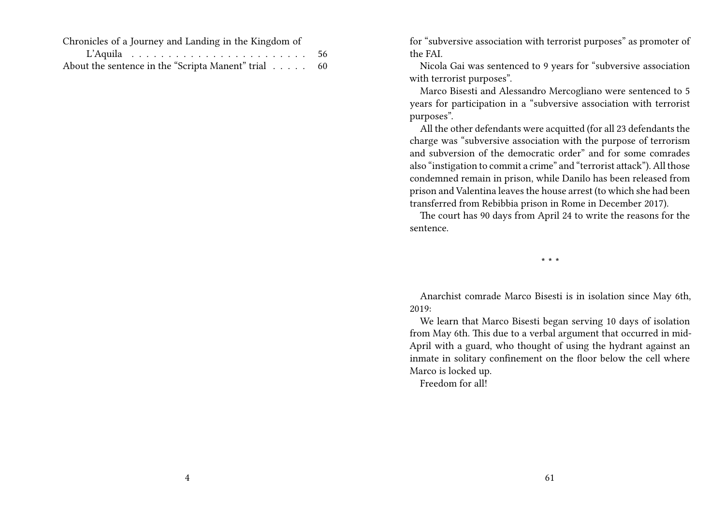| Chronicles of a Journey and Landing in the Kingdom of |  |
|-------------------------------------------------------|--|
|                                                       |  |
| About the sentence in the "Scripta Manent" trial 60   |  |

for "subversive association with terrorist purposes" as promoter of the FAI.

Nicola Gai was sentenced to 9 years for "subversive association with terrorist purposes".

Marco Bisesti and Alessandro Mercogliano were sentenced to 5 years for participation in a "subversive association with terrorist purposes".

All the other defendants were acquitted (for all 23 defendants the charge was "subversive association with the purpose of terrorism and subversion of the democratic order" and for some comrades also "instigation to commit a crime" and "terrorist attack"). All those condemned remain in prison, while Danilo has been released from prison and Valentina leaves the house arrest (to which she had been transferred from Rebibbia prison in Rome in December 2017).

The court has 90 days from April 24 to write the reasons for the sentence.

**\* \* \***

Anarchist comrade Marco Bisesti is in isolation since May 6th, 2019:

We learn that Marco Bisesti began serving 10 days of isolation from May 6th. This due to a verbal argument that occurred in mid-April with a guard, who thought of using the hydrant against an inmate in solitary confinement on the floor below the cell where Marco is locked up.

Freedom for all!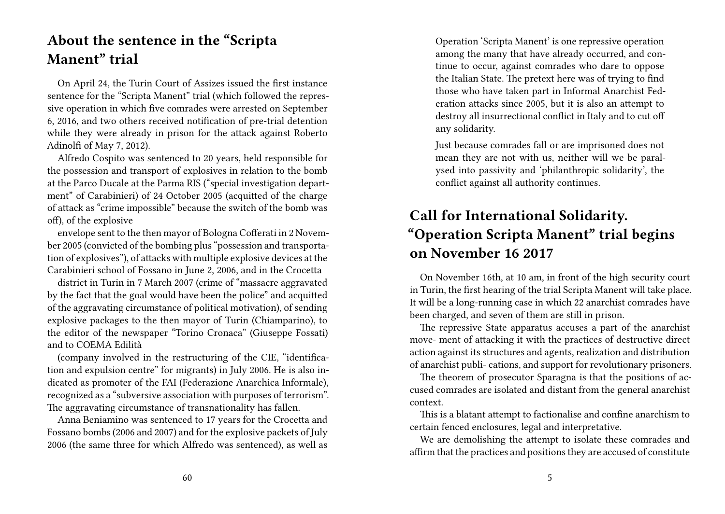# **About the sentence in the "Scripta Manent" trial**

On April 24, the Turin Court of Assizes issued the first instance sentence for the "Scripta Manent" trial (which followed the repressive operation in which five comrades were arrested on September 6, 2016, and two others received notification of pre-trial detention while they were already in prison for the attack against Roberto Adinolfi of May 7, 2012).

Alfredo Cospito was sentenced to 20 years, held responsible for the possession and transport of explosives in relation to the bomb at the Parco Ducale at the Parma RIS ("special investigation department" of Carabinieri) of 24 October 2005 (acquitted of the charge of attack as "crime impossible" because the switch of the bomb was off), of the explosive

envelope sent to the then mayor of Bologna Cofferati in 2 November 2005 (convicted of the bombing plus "possession and transportation of explosives"), of attacks with multiple explosive devices at the Carabinieri school of Fossano in June 2, 2006, and in the Crocetta

district in Turin in 7 March 2007 (crime of "massacre aggravated by the fact that the goal would have been the police" and acquitted of the aggravating circumstance of political motivation), of sending explosive packages to the then mayor of Turin (Chiamparino), to the editor of the newspaper "Torino Cronaca" (Giuseppe Fossati) and to COEMA Edilità

(company involved in the restructuring of the CIE, "identification and expulsion centre" for migrants) in July 2006. He is also indicated as promoter of the FAI (Federazione Anarchica Informale), recognized as a "subversive association with purposes of terrorism". The aggravating circumstance of transnationality has fallen.

Anna Beniamino was sentenced to 17 years for the Crocetta and Fossano bombs (2006 and 2007) and for the explosive packets of July 2006 (the same three for which Alfredo was sentenced), as well as Operation 'Scripta Manent' is one repressive operation among the many that have already occurred, and continue to occur, against comrades who dare to oppose the Italian State. The pretext here was of trying to find those who have taken part in Informal Anarchist Federation attacks since 2005, but it is also an attempt to destroy all insurrectional conflict in Italy and to cut off any solidarity.

Just because comrades fall or are imprisoned does not mean they are not with us, neither will we be paralysed into passivity and 'philanthropic solidarity', the conflict against all authority continues.

# **Call for International Solidarity. "Operation Scripta Manent" trial begins on November 16 2017**

On November 16th, at 10 am, in front of the high security court in Turin, the first hearing of the trial Scripta Manent will take place. It will be a long-running case in which 22 anarchist comrades have been charged, and seven of them are still in prison.

The repressive State apparatus accuses a part of the anarchist move- ment of attacking it with the practices of destructive direct action against its structures and agents, realization and distribution of anarchist publi- cations, and support for revolutionary prisoners.

The theorem of prosecutor Sparagna is that the positions of accused comrades are isolated and distant from the general anarchist context.

This is a blatant attempt to factionalise and confine anarchism to certain fenced enclosures, legal and interpretative.

We are demolishing the attempt to isolate these comrades and affirm that the practices and positions they are accused of constitute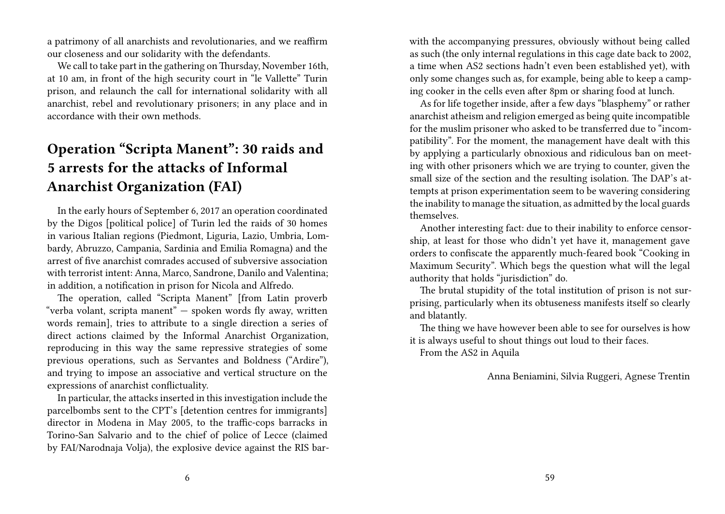a patrimony of all anarchists and revolutionaries, and we reaffirm our closeness and our solidarity with the defendants.

We call to take part in the gathering on Thursday, November 16th, at 10 am, in front of the high security court in "le Vallette" Turin prison, and relaunch the call for international solidarity with all anarchist, rebel and revolutionary prisoners; in any place and in accordance with their own methods.

# **Operation "Scripta Manent": 30 raids and 5 arrests for the attacks of Informal Anarchist Organization (FAI)**

In the early hours of September 6, 2017 an operation coordinated by the Digos [political police] of Turin led the raids of 30 homes in various Italian regions (Piedmont, Liguria, Lazio, Umbria, Lombardy, Abruzzo, Campania, Sardinia and Emilia Romagna) and the arrest of five anarchist comrades accused of subversive association with terrorist intent: Anna, Marco, Sandrone, Danilo and Valentina; in addition, a notification in prison for Nicola and Alfredo.

The operation, called "Scripta Manent" [from Latin proverb "verba volant, scripta manent" — spoken words fly away, written words remain], tries to attribute to a single direction a series of direct actions claimed by the Informal Anarchist Organization, reproducing in this way the same repressive strategies of some previous operations, such as Servantes and Boldness ("Ardire"), and trying to impose an associative and vertical structure on the expressions of anarchist conflictuality.

In particular, the attacks inserted in this investigation include the parcelbombs sent to the CPT's [detention centres for immigrants] director in Modena in May 2005, to the traffic-cops barracks in Torino-San Salvario and to the chief of police of Lecce (claimed by FAI/Narodnaja Volja), the explosive device against the RIS barwith the accompanying pressures, obviously without being called as such (the only internal regulations in this cage date back to 2002, a time when AS2 sections hadn't even been established yet), with only some changes such as, for example, being able to keep a camping cooker in the cells even after 8pm or sharing food at lunch.

As for life together inside, after a few days "blasphemy" or rather anarchist atheism and religion emerged as being quite incompatible for the muslim prisoner who asked to be transferred due to "incompatibility". For the moment, the management have dealt with this by applying a particularly obnoxious and ridiculous ban on meeting with other prisoners which we are trying to counter, given the small size of the section and the resulting isolation. The DAP's attempts at prison experimentation seem to be wavering considering the inability to manage the situation, as admitted by the local guards themselves.

Another interesting fact: due to their inability to enforce censorship, at least for those who didn't yet have it, management gave orders to confiscate the apparently much-feared book "Cooking in Maximum Security". Which begs the question what will the legal authority that holds "jurisdiction" do.

The brutal stupidity of the total institution of prison is not surprising, particularly when its obtuseness manifests itself so clearly and blatantly.

The thing we have however been able to see for ourselves is how it is always useful to shout things out loud to their faces.

From the AS2 in Aquila

Anna Beniamini, Silvia Ruggeri, Agnese Trentin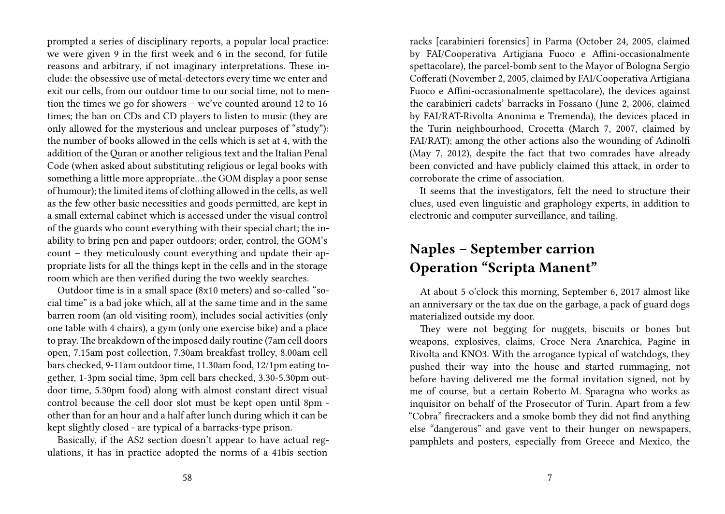prompted a series of disciplinary reports, a popular local practice: we were given 9 in the first week and 6 in the second, for futile reasons and arbitrary, if not imaginary interpretations. These include: the obsessive use of metal-detectors every time we enter and exit our cells, from our outdoor time to our social time, not to mention the times we go for showers – we've counted around 12 to 16 times; the ban on CDs and CD players to listen to music (they are only allowed for the mysterious and unclear purposes of "study"): the number of books allowed in the cells which is set at 4, with the addition of the Quran or another religious text and the Italian Penal Code (when asked about substituting religious or legal books with something a little more appropriate…the GOM display a poor sense of humour); the limited items of clothing allowed in the cells, as well as the few other basic necessities and goods permitted, are kept in a small external cabinet which is accessed under the visual control of the guards who count everything with their special chart; the inability to bring pen and paper outdoors; order, control, the GOM's count – they meticulously count everything and update their appropriate lists for all the things kept in the cells and in the storage room which are then verified during the two weekly searches.

Outdoor time is in a small space (8x10 meters) and so-called "social time" is a bad joke which, all at the same time and in the same barren room (an old visiting room), includes social activities (only one table with 4 chairs), a gym (only one exercise bike) and a place to pray. The breakdown of the imposed daily routine (7am cell doors open, 7.15am post collection, 7.30am breakfast trolley, 8.00am cell bars checked, 9-11am outdoor time, 11.30am food, 12/1pm eating together, 1-3pm social time, 3pm cell bars checked, 3.30-5.30pm outdoor time, 5.30pm food) along with almost constant direct visual control because the cell door slot must be kept open until 8pm other than for an hour and a half after lunch during which it can be kept slightly closed - are typical of a barracks-type prison.

Basically, if the AS2 section doesn't appear to have actual regulations, it has in practice adopted the norms of a 41bis section

racks [carabinieri forensics] in Parma (October 24, 2005, claimed by FAI/Cooperativa Artigiana Fuoco e Affini-occasionalmente spettacolare), the parcel-bomb sent to the Mayor of Bologna Sergio Cofferati (November 2, 2005, claimed by FAI/Cooperativa Artigiana Fuoco e Affini-occasionalmente spettacolare), the devices against the carabinieri cadets' barracks in Fossano (June 2, 2006, claimed by FAI/RAT-Rivolta Anonima e Tremenda), the devices placed in the Turin neighbourhood, Crocetta (March 7, 2007, claimed by FAI/RAT); among the other actions also the wounding of Adinolfi (May 7, 2012), despite the fact that two comrades have already been convicted and have publicly claimed this attack, in order to corroborate the crime of association.

It seems that the investigators, felt the need to structure their clues, used even linguistic and graphology experts, in addition to electronic and computer surveillance, and tailing.

# **Naples – September carrion Operation "Scripta Manent"**

At about 5 o'clock this morning, September 6, 2017 almost like an anniversary or the tax due on the garbage, a pack of guard dogs materialized outside my door.

They were not begging for nuggets, biscuits or bones but weapons, explosives, claims, Croce Nera Anarchica, Pagine in Rivolta and KNO3. With the arrogance typical of watchdogs, they pushed their way into the house and started rummaging, not before having delivered me the formal invitation signed, not by me of course, but a certain Roberto M. Sparagna who works as inquisitor on behalf of the Prosecutor of Turin. Apart from a few "Cobra" firecrackers and a smoke bomb they did not find anything else "dangerous" and gave vent to their hunger on newspapers, pamphlets and posters, especially from Greece and Mexico, the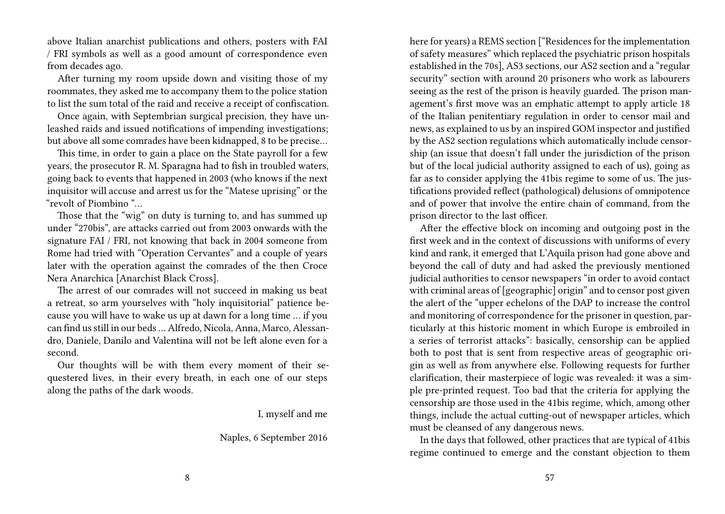above Italian anarchist publications and others, posters with FAI / FRI symbols as well as a good amount of correspondence even from decades ago.

After turning my room upside down and visiting those of my roommates, they asked me to accompany them to the police station to list the sum total of the raid and receive a receipt of confiscation.

Once again, with Septembrian surgical precision, they have unleashed raids and issued notifications of impending investigations; but above all some comrades have been kidnapped, 8 to be precise…

This time, in order to gain a place on the State payroll for a few years, the prosecutor R. M. Sparagna had to fish in troubled waters, going back to events that happened in 2003 (who knows if the next inquisitor will accuse and arrest us for the "Matese uprising" or the "revolt of Piombino "…

Those that the "wig" on duty is turning to, and has summed up under "270bis", are attacks carried out from 2003 onwards with the signature FAI / FRI, not knowing that back in 2004 someone from Rome had tried with "Operation Cervantes" and a couple of years later with the operation against the comrades of the then Croce Nera Anarchica [Anarchist Black Cross].

The arrest of our comrades will not succeed in making us beat a retreat, so arm yourselves with "holy inquisitorial" patience because you will have to wake us up at dawn for a long time … if you can find us still in our beds … Alfredo, Nicola, Anna, Marco, Alessandro, Daniele, Danilo and Valentina will not be left alone even for a second.

Our thoughts will be with them every moment of their sequestered lives, in their every breath, in each one of our steps along the paths of the dark woods.

I, myself and me

#### Naples, 6 September 2016

here for years) a REMS section ["Residences for the implementation of safety measures" which replaced the psychiatric prison hospitals established in the 70s], AS3 sections, our AS2 section and a "regular security" section with around 20 prisoners who work as labourers seeing as the rest of the prison is heavily guarded. The prison management's first move was an emphatic attempt to apply article 18 of the Italian penitentiary regulation in order to censor mail and news, as explained to us by an inspired GOM inspector and justified by the AS2 section regulations which automatically include censorship (an issue that doesn't fall under the jurisdiction of the prison but of the local judicial authority assigned to each of us), going as far as to consider applying the 41bis regime to some of us. The justifications provided reflect (pathological) delusions of omnipotence and of power that involve the entire chain of command, from the prison director to the last officer.

After the effective block on incoming and outgoing post in the first week and in the context of discussions with uniforms of every kind and rank, it emerged that L'Aquila prison had gone above and beyond the call of duty and had asked the previously mentioned judicial authorities to censor newspapers "in order to avoid contact with criminal areas of [geographic] origin" and to censor post given the alert of the "upper echelons of the DAP to increase the control and monitoring of correspondence for the prisoner in question, particularly at this historic moment in which Europe is embroiled in a series of terrorist attacks": basically, censorship can be applied both to post that is sent from respective areas of geographic origin as well as from anywhere else. Following requests for further clarification, their masterpiece of logic was revealed: it was a simple pre-printed request. Too bad that the criteria for applying the censorship are those used in the 41bis regime, which, among other things, include the actual cutting-out of newspaper articles, which must be cleansed of any dangerous news.

In the days that followed, other practices that are typical of 41bis regime continued to emerge and the constant objection to them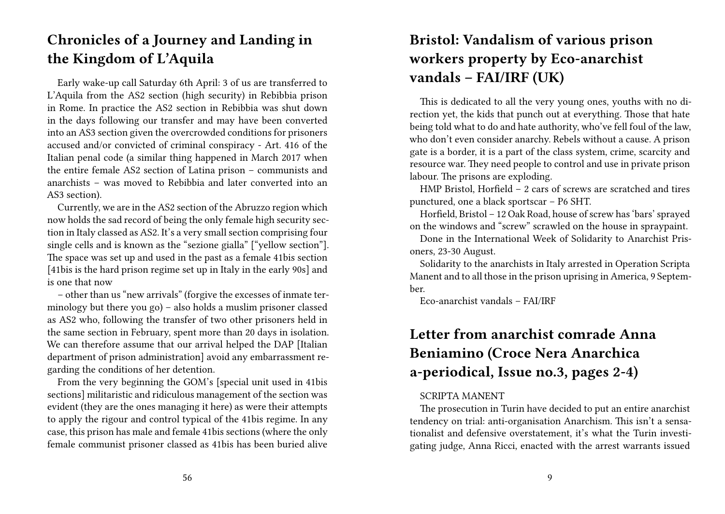# **Chronicles of a Journey and Landing in the Kingdom of L'Aquila**

Early wake-up call Saturday 6th April: 3 of us are transferred to L'Aquila from the AS2 section (high security) in Rebibbia prison in Rome. In practice the AS2 section in Rebibbia was shut down in the days following our transfer and may have been converted into an AS3 section given the overcrowded conditions for prisoners accused and/or convicted of criminal conspiracy - Art. 416 of the Italian penal code (a similar thing happened in March 2017 when the entire female AS2 section of Latina prison – communists and anarchists – was moved to Rebibbia and later converted into an AS3 section).

Currently, we are in the AS2 section of the Abruzzo region which now holds the sad record of being the only female high security section in Italy classed as AS2. It's a very small section comprising four single cells and is known as the "sezione gialla" ["yellow section"]. The space was set up and used in the past as a female 41bis section [41bis is the hard prison regime set up in Italy in the early 90s] and is one that now

– other than us "new arrivals" (forgive the excesses of inmate terminology but there you go) – also holds a muslim prisoner classed as AS2 who, following the transfer of two other prisoners held in the same section in February, spent more than 20 days in isolation. We can therefore assume that our arrival helped the DAP [Italian department of prison administration] avoid any embarrassment regarding the conditions of her detention.

From the very beginning the GOM's [special unit used in 41bis sections] militaristic and ridiculous management of the section was evident (they are the ones managing it here) as were their attempts to apply the rigour and control typical of the 41bis regime. In any case, this prison has male and female 41bis sections (where the only female communist prisoner classed as 41bis has been buried alive

# **Bristol: Vandalism of various prison workers property by Eco-anarchist vandals – FAI/IRF (UK)**

This is dedicated to all the very young ones, youths with no direction yet, the kids that punch out at everything. Those that hate being told what to do and hate authority, who've fell foul of the law, who don't even consider anarchy. Rebels without a cause. A prison gate is a border, it is a part of the class system, crime, scarcity and resource war. They need people to control and use in private prison labour. The prisons are exploding.

HMP Bristol, Horfield – 2 cars of screws are scratched and tires punctured, one a black sportscar – P6 SHT.

Horfield, Bristol – 12 Oak Road, house of screw has 'bars' sprayed on the windows and "screw" scrawled on the house in spraypaint.

Done in the International Week of Solidarity to Anarchist Prisoners, 23-30 August.

Solidarity to the anarchists in Italy arrested in Operation Scripta Manent and to all those in the prison uprising in America, 9 September.

Eco-anarchist vandals – FAI/IRF

# **Letter from anarchist comrade Anna Beniamino (Croce Nera Anarchica a-periodical, Issue no.3, pages 2-4)**

#### SCRIPTA MANENT

The prosecution in Turin have decided to put an entire anarchist tendency on trial: anti-organisation Anarchism. This isn't a sensationalist and defensive overstatement, it's what the Turin investigating judge, Anna Ricci, enacted with the arrest warrants issued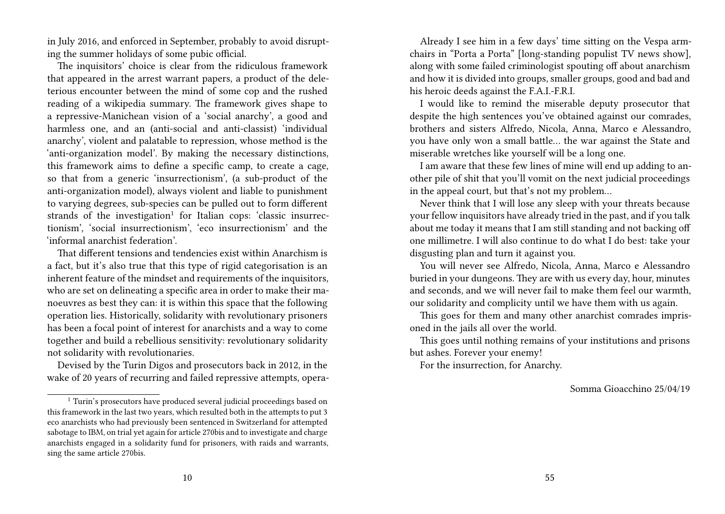in July 2016, and enforced in September, probably to avoid disrupting the summer holidays of some pubic official.

The inquisitors' choice is clear from the ridiculous framework that appeared in the arrest warrant papers, a product of the deleterious encounter between the mind of some cop and the rushed reading of a wikipedia summary. The framework gives shape to a repressive-Manichean vision of a 'social anarchy', a good and harmless one, and an (anti-social and anti-classist) 'individual anarchy', violent and palatable to repression, whose method is the 'anti-organization model'. By making the necessary distinctions, this framework aims to define a specific camp, to create a cage, so that from a generic 'insurrectionism', (a sub-product of the anti-organization model), always violent and liable to punishment to varying degrees, sub-species can be pulled out to form different strands of the investigation<sup>1</sup> for Italian cops: 'classic insurrectionism', 'social insurrectionism', 'eco insurrectionism' and the 'informal anarchist federation'.

That different tensions and tendencies exist within Anarchism is a fact, but it's also true that this type of rigid categorisation is an inherent feature of the mindset and requirements of the inquisitors, who are set on delineating a specific area in order to make their manoeuvres as best they can: it is within this space that the following operation lies. Historically, solidarity with revolutionary prisoners has been a focal point of interest for anarchists and a way to come together and build a rebellious sensitivity: revolutionary solidarity not solidarity with revolutionaries.

Devised by the Turin Digos and prosecutors back in 2012, in the wake of 20 years of recurring and failed repressive attempts, opera-

Already I see him in a few days' time sitting on the Vespa armchairs in "Porta a Porta" [long-standing populist TV news show], along with some failed criminologist spouting off about anarchism and how it is divided into groups, smaller groups, good and bad and his heroic deeds against the F.A.I.-F.R.I.

I would like to remind the miserable deputy prosecutor that despite the high sentences you've obtained against our comrades, brothers and sisters Alfredo, Nicola, Anna, Marco e Alessandro, you have only won a small battle… the war against the State and miserable wretches like yourself will be a long one.

I am aware that these few lines of mine will end up adding to another pile of shit that you'll vomit on the next judicial proceedings in the appeal court, but that's not my problem…

Never think that I will lose any sleep with your threats because your fellow inquisitors have already tried in the past, and if you talk about me today it means that I am still standing and not backing off one millimetre. I will also continue to do what I do best: take your disgusting plan and turn it against you.

You will never see Alfredo, Nicola, Anna, Marco e Alessandro buried in your dungeons. They are with us every day, hour, minutes and seconds, and we will never fail to make them feel our warmth, our solidarity and complicity until we have them with us again.

This goes for them and many other anarchist comrades imprisoned in the jails all over the world.

This goes until nothing remains of your institutions and prisons but ashes. Forever your enemy!

For the insurrection, for Anarchy.

Somma Gioacchino 25/04/19

<sup>1</sup> Turin's prosecutors have produced several judicial proceedings based on this framework in the last two years, which resulted both in the attempts to put 3 eco anarchists who had previously been sentenced in Switzerland for attempted sabotage to IBM, on trial yet again for article 270bis and to investigate and charge anarchists engaged in a solidarity fund for prisoners, with raids and warrants, sing the same article 270bis.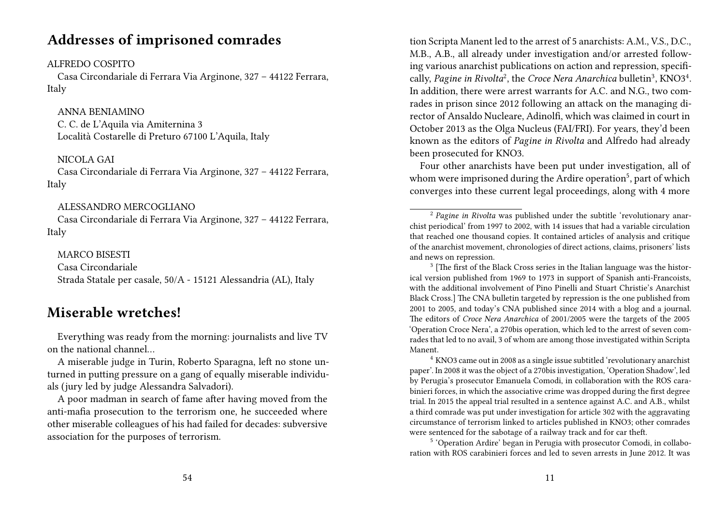## **Addresses of imprisoned comrades**

#### ALFREDO COSPITO

Casa Circondariale di Ferrara Via Arginone, 327 – 44122 Ferrara, Italy

### ANNA BENIAMINO

C. C. de L'Aquila via Amiternina 3 Località Costarelle di Preturo 67100 L'Aquila, Italy

### NICOLA GAI

Casa Circondariale di Ferrara Via Arginone, 327 – 44122 Ferrara, Italy

### ALESSANDRO MERCOGLIANO

Casa Circondariale di Ferrara Via Arginone, 327 – 44122 Ferrara, Italy

### MARCO BISESTI

Casa Circondariale

Strada Statale per casale, 50/A - 15121 Alessandria (AL), Italy

# **Miserable wretches!**

Everything was ready from the morning: journalists and live TV on the national channel…

A miserable judge in Turin, Roberto Sparagna, left no stone unturned in putting pressure on a gang of equally miserable individuals (jury led by judge Alessandra Salvadori).

A poor madman in search of fame after having moved from the anti-mafia prosecution to the terrorism one, he succeeded where other miserable colleagues of his had failed for decades: subversive association for the purposes of terrorism.

tion Scripta Manent led to the arrest of 5 anarchists: A.M., V.S., D.C., M.B., A.B., all already under investigation and/or arrested following various anarchist publications on action and repression, specifically, Pagine in Rivolta<sup>2</sup>, the *Croce Nera Anarchica* bulletin<sup>3</sup>, KNO3<sup>4</sup>. In addition, there were arrest warrants for A.C. and N.G., two comrades in prison since 2012 following an attack on the managing director of Ansaldo Nucleare, Adinolfi, which was claimed in court in October 2013 as the Olga Nucleus (FAI/FRI). For years, they'd been known as the editors of *Pagine in Rivolta* and Alfredo had already been prosecuted for KNO3.

Four other anarchists have been put under investigation, all of whom were imprisoned during the Ardire operation<sup>5</sup>, part of which converges into these current legal proceedings, along with 4 more

<sup>3</sup> [The first of the Black Cross series in the Italian language was the historical version published from 1969 to 1973 in support of Spanish anti-Francoists, with the additional involvement of Pino Pinelli and Stuart Christie's Anarchist Black Cross.] The CNA bulletin targeted by repression is the one published from 2001 to 2005, and today's CNA published since 2014 with a blog and a journal. The editors of *Croce Nera Anarchica* of 2001/2005 were the targets of the 2005 'Operation Croce Nera', a 270bis operation, which led to the arrest of seven comrades that led to no avail, 3 of whom are among those investigated within Scripta Manent.

<sup>4</sup> KNO3 came out in 2008 as a single issue subtitled 'revolutionary anarchist paper'. In 2008 it was the object of a 270bis investigation, 'Operation Shadow', led by Perugia's prosecutor Emanuela Comodi, in collaboration with the ROS carabinieri forces, in which the associative crime was dropped during the first degree trial. In 2015 the appeal trial resulted in a sentence against A.C. and A.B., whilst a third comrade was put under investigation for article 302 with the aggravating circumstance of terrorism linked to articles published in KNO3; other comrades were sentenced for the sabotage of a railway track and for car theft.

5 'Operation Ardire' began in Perugia with prosecutor Comodi, in collaboration with ROS carabinieri forces and led to seven arrests in June 2012. It was

<sup>2</sup> *Pagine in Rivolta* was published under the subtitle 'revolutionary anarchist periodical' from 1997 to 2002, with 14 issues that had a variable circulation that reached one thousand copies. It contained articles of analysis and critique of the anarchist movement, chronologies of direct actions, claims, prisoners' lists and news on repression.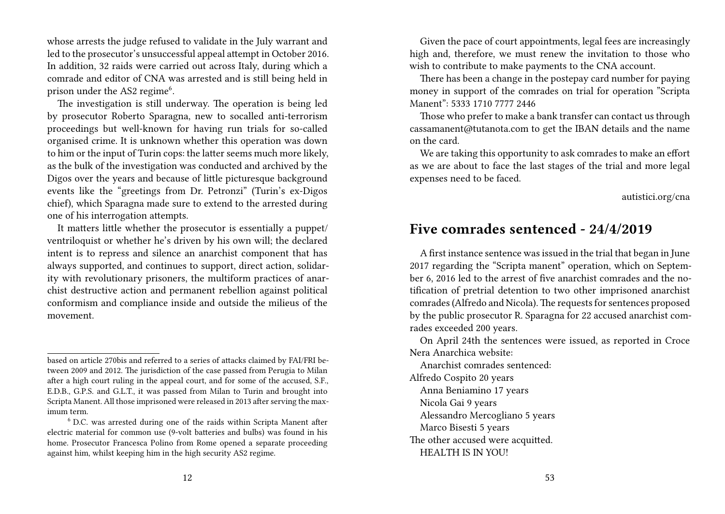whose arrests the judge refused to validate in the July warrant and led to the prosecutor's unsuccessful appeal attempt in October 2016. In addition, 32 raids were carried out across Italy, during which a comrade and editor of CNA was arrested and is still being held in prison under the AS2 regime<sup>6</sup>.

The investigation is still underway. The operation is being led by prosecutor Roberto Sparagna, new to socalled anti-terrorism proceedings but well-known for having run trials for so-called organised crime. It is unknown whether this operation was down to him or the input of Turin cops: the latter seems much more likely, as the bulk of the investigation was conducted and archived by the Digos over the years and because of little picturesque background events like the "greetings from Dr. Petronzi" (Turin's ex-Digos chief), which Sparagna made sure to extend to the arrested during one of his interrogation attempts.

It matters little whether the prosecutor is essentially a puppet/ ventriloquist or whether he's driven by his own will; the declared intent is to repress and silence an anarchist component that has always supported, and continues to support, direct action, solidarity with revolutionary prisoners, the multiform practices of anarchist destructive action and permanent rebellion against political conformism and compliance inside and outside the milieus of the movement.

Given the pace of court appointments, legal fees are increasingly high and, therefore, we must renew the invitation to those who wish to contribute to make payments to the CNA account.

There has been a change in the postepay card number for paying money in support of the comrades on trial for operation "Scripta Manent": 5333 1710 7777 2446

Those who prefer to make a bank transfer can contact us through cassamanent@tutanota.com to get the IBAN details and the name on the card.

We are taking this opportunity to ask comrades to make an effort as we are about to face the last stages of the trial and more legal expenses need to be faced.

autistici.org/cna

### **Five comrades sentenced - 24/4/2019**

A first instance sentence was issued in the trial that began in June 2017 regarding the "Scripta manent" operation, which on September 6, 2016 led to the arrest of five anarchist comrades and the notification of pretrial detention to two other imprisoned anarchist comrades (Alfredo and Nicola). The requests for sentences proposed by the public prosecutor R. Sparagna for 22 accused anarchist comrades exceeded 200 years.

On April 24th the sentences were issued, as reported in Croce Nera Anarchica website:

Anarchist comrades sentenced: Alfredo Cospito 20 years Anna Beniamino 17 years Nicola Gai 9 years Alessandro Mercogliano 5 years Marco Bisesti 5 years The other accused were acquitted. HEALTH IS IN YOU!

based on article 270bis and referred to a series of attacks claimed by FAI/FRI between 2009 and 2012. The jurisdiction of the case passed from Perugia to Milan after a high court ruling in the appeal court, and for some of the accused, S.F., E.D.B., G.P.S. and G.L.T., it was passed from Milan to Turin and brought into Scripta Manent. All those imprisoned were released in 2013 after serving the maximum term.

<sup>6</sup> D.C. was arrested during one of the raids within Scripta Manent after electric material for common use (9-volt batteries and bulbs) was found in his home. Prosecutor Francesca Polino from Rome opened a separate proceeding against him, whilst keeping him in the high security AS2 regime.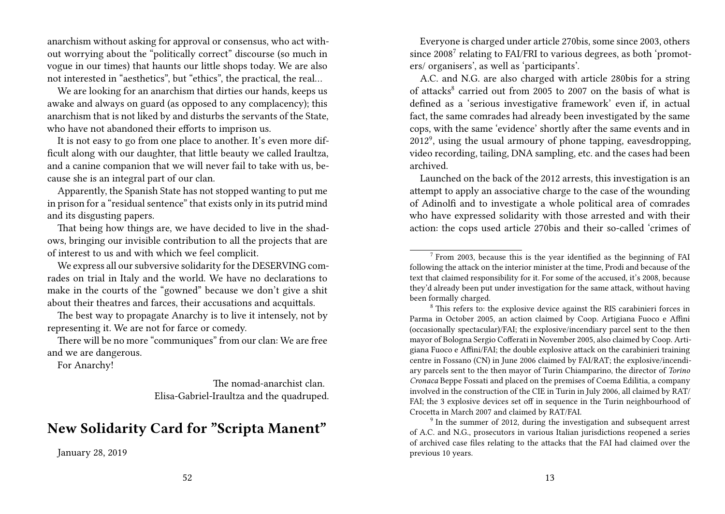anarchism without asking for approval or consensus, who act without worrying about the "politically correct" discourse (so much in vogue in our times) that haunts our little shops today. We are also not interested in "aesthetics", but "ethics", the practical, the real…

We are looking for an anarchism that dirties our hands, keeps us awake and always on guard (as opposed to any complacency); this anarchism that is not liked by and disturbs the servants of the State, who have not abandoned their efforts to imprison us.

It is not easy to go from one place to another. It's even more difficult along with our daughter, that little beauty we called Iraultza, and a canine companion that we will never fail to take with us, because she is an integral part of our clan.

Apparently, the Spanish State has not stopped wanting to put me in prison for a "residual sentence" that exists only in its putrid mind and its disgusting papers.

That being how things are, we have decided to live in the shadows, bringing our invisible contribution to all the projects that are of interest to us and with which we feel complicit.

We express all our subversive solidarity for the DESERVING comrades on trial in Italy and the world. We have no declarations to make in the courts of the "gowned" because we don't give a shit about their theatres and farces, their accusations and acquittals.

The best way to propagate Anarchy is to live it intensely, not by representing it. We are not for farce or comedy.

There will be no more "communiques" from our clan: We are free and we are dangerous.

For Anarchy!

The nomad-anarchist clan. Elisa-Gabriel-Iraultza and the quadruped.

### **New Solidarity Card for "Scripta Manent"**

January 28, 2019

Everyone is charged under article 270bis, some since 2003, others since 2008<sup>7</sup> relating to FAI/FRI to various degrees, as both 'promoters/ organisers', as well as 'participants'.

A.C. and N.G. are also charged with article 280bis for a string of attacks<sup>8</sup> carried out from 2005 to 2007 on the basis of what is defined as a 'serious investigative framework' even if, in actual fact, the same comrades had already been investigated by the same cops, with the same 'evidence' shortly after the same events and in 2012<sup>9</sup>, using the usual armoury of phone tapping, eavesdropping, video recording, tailing, DNA sampling, etc. and the cases had been archived.

Launched on the back of the 2012 arrests, this investigation is an attempt to apply an associative charge to the case of the wounding of Adinolfi and to investigate a whole political area of comrades who have expressed solidarity with those arrested and with their action: the cops used article 270bis and their so-called 'crimes of

<sup>7</sup> From 2003, because this is the year identified as the beginning of FAI following the attack on the interior minister at the time, Prodi and because of the text that claimed responsibility for it. For some of the accused, it's 2008, because they'd already been put under investigation for the same attack, without having been formally charged.

<sup>8</sup> This refers to: the explosive device against the RIS carabinieri forces in Parma in October 2005, an action claimed by Coop. Artigiana Fuoco e Affini (occasionally spectacular)/FAI; the explosive/incendiary parcel sent to the then mayor of Bologna Sergio Cofferati in November 2005, also claimed by Coop. Artigiana Fuoco e Affini/FAI; the double explosive attack on the carabinieri training centre in Fossano (CN) in June 2006 claimed by FAI/RAT; the explosive/incendiary parcels sent to the then mayor of Turin Chiamparino, the director of *Torino Cronaca* Beppe Fossati and placed on the premises of Coema Edilitia, a company involved in the construction of the CIE in Turin in July 2006, all claimed by RAT/ FAI; the 3 explosive devices set off in sequence in the Turin neighbourhood of Crocetta in March 2007 and claimed by RAT/FAI.

<sup>&</sup>lt;sup>9</sup> In the summer of 2012, during the investigation and subsequent arrest of A.C. and N.G., prosecutors in various Italian jurisdictions reopened a series of archived case files relating to the attacks that the FAI had claimed over the previous 10 years.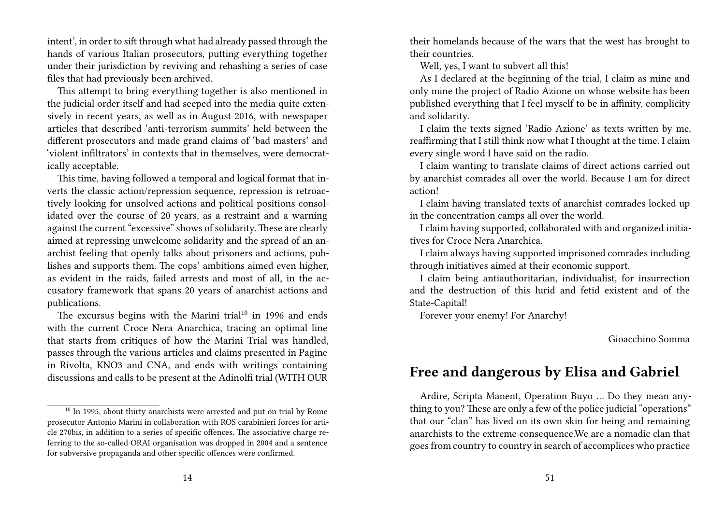intent', in order to sift through what had already passed through the hands of various Italian prosecutors, putting everything together under their jurisdiction by reviving and rehashing a series of case files that had previously been archived.

This attempt to bring everything together is also mentioned in the judicial order itself and had seeped into the media quite extensively in recent years, as well as in August 2016, with newspaper articles that described 'anti-terrorism summits' held between the different prosecutors and made grand claims of 'bad masters' and 'violent infiltrators' in contexts that in themselves, were democratically acceptable.

This time, having followed a temporal and logical format that inverts the classic action/repression sequence, repression is retroactively looking for unsolved actions and political positions consolidated over the course of 20 years, as a restraint and a warning against the current "excessive" shows of solidarity. These are clearly aimed at repressing unwelcome solidarity and the spread of an anarchist feeling that openly talks about prisoners and actions, publishes and supports them. The cops' ambitions aimed even higher, as evident in the raids, failed arrests and most of all, in the accusatory framework that spans 20 years of anarchist actions and publications.

The excursus begins with the Marini trial<sup>10</sup> in 1996 and ends with the current Croce Nera Anarchica, tracing an optimal line that starts from critiques of how the Marini Trial was handled, passes through the various articles and claims presented in Pagine in Rivolta, KNO3 and CNA, and ends with writings containing discussions and calls to be present at the Adinolfi trial (WITH OUR their homelands because of the wars that the west has brought to their countries.

Well, yes, I want to subvert all this!

As I declared at the beginning of the trial, I claim as mine and only mine the project of Radio Azione on whose website has been published everything that I feel myself to be in affinity, complicity and solidarity.

I claim the texts signed 'Radio Azione' as texts written by me, reaffirming that I still think now what I thought at the time. I claim every single word I have said on the radio.

I claim wanting to translate claims of direct actions carried out by anarchist comrades all over the world. Because I am for direct action!

I claim having translated texts of anarchist comrades locked up in the concentration camps all over the world.

I claim having supported, collaborated with and organized initiatives for Croce Nera Anarchica.

I claim always having supported imprisoned comrades including through initiatives aimed at their economic support.

I claim being antiauthoritarian, individualist, for insurrection and the destruction of this lurid and fetid existent and of the State-Capital!

Forever your enemy! For Anarchy!

Gioacchino Somma

### **Free and dangerous by Elisa and Gabriel**

Ardire, Scripta Manent, Operation Buyo … Do they mean anything to you? These are only a few of the police judicial "operations" that our "clan" has lived on its own skin for being and remaining anarchists to the extreme consequence.We are a nomadic clan that goes from country to country in search of accomplices who practice

<sup>&</sup>lt;sup>10</sup> In 1995, about thirty anarchists were arrested and put on trial by Rome prosecutor Antonio Marini in collaboration with ROS carabinieri forces for article 270bis, in addition to a series of specific offences. The associative charge referring to the so-called ORAI organisation was dropped in 2004 and a sentence for subversive propaganda and other specific offences were confirmed.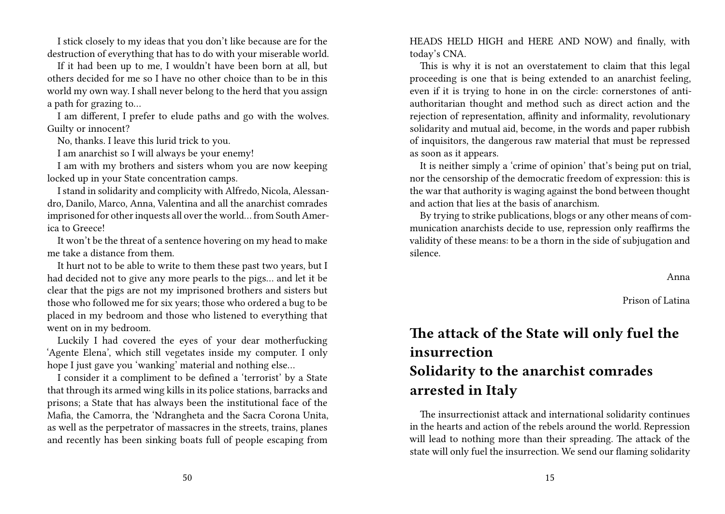I stick closely to my ideas that you don't like because are for the destruction of everything that has to do with your miserable world.

If it had been up to me, I wouldn't have been born at all, but others decided for me so I have no other choice than to be in this world my own way. I shall never belong to the herd that you assign a path for grazing to…

I am different, I prefer to elude paths and go with the wolves. Guilty or innocent?

No, thanks. I leave this lurid trick to you.

I am anarchist so I will always be your enemy!

I am with my brothers and sisters whom you are now keeping locked up in your State concentration camps.

I stand in solidarity and complicity with Alfredo, Nicola, Alessandro, Danilo, Marco, Anna, Valentina and all the anarchist comrades imprisoned for other inquests all over the world… from South America to Greece!

It won't be the threat of a sentence hovering on my head to make me take a distance from them.

It hurt not to be able to write to them these past two years, but I had decided not to give any more pearls to the pigs… and let it be clear that the pigs are not my imprisoned brothers and sisters but those who followed me for six years; those who ordered a bug to be placed in my bedroom and those who listened to everything that went on in my bedroom.

Luckily I had covered the eyes of your dear motherfucking 'Agente Elena', which still vegetates inside my computer. I only hope I just gave you 'wanking' material and nothing else…

I consider it a compliment to be defined a 'terrorist' by a State that through its armed wing kills in its police stations, barracks and prisons; a State that has always been the institutional face of the Mafia, the Camorra, the 'Ndrangheta and the Sacra Corona Unita, as well as the perpetrator of massacres in the streets, trains, planes and recently has been sinking boats full of people escaping from

HEADS HELD HIGH and HERE AND NOW) and finally, with today's CNA.

This is why it is not an overstatement to claim that this legal proceeding is one that is being extended to an anarchist feeling, even if it is trying to hone in on the circle: cornerstones of antiauthoritarian thought and method such as direct action and the rejection of representation, affinity and informality, revolutionary solidarity and mutual aid, become, in the words and paper rubbish of inquisitors, the dangerous raw material that must be repressed as soon as it appears.

It is neither simply a 'crime of opinion' that's being put on trial, nor the censorship of the democratic freedom of expression: this is the war that authority is waging against the bond between thought and action that lies at the basis of anarchism.

By trying to strike publications, blogs or any other means of communication anarchists decide to use, repression only reaffirms the validity of these means: to be a thorn in the side of subjugation and silence.

Anna

Prison of Latina

# **The attack of the State will only fuel the insurrection Solidarity to the anarchist comrades arrested in Italy**

The insurrectionist attack and international solidarity continues in the hearts and action of the rebels around the world. Repression will lead to nothing more than their spreading. The attack of the state will only fuel the insurrection. We send our flaming solidarity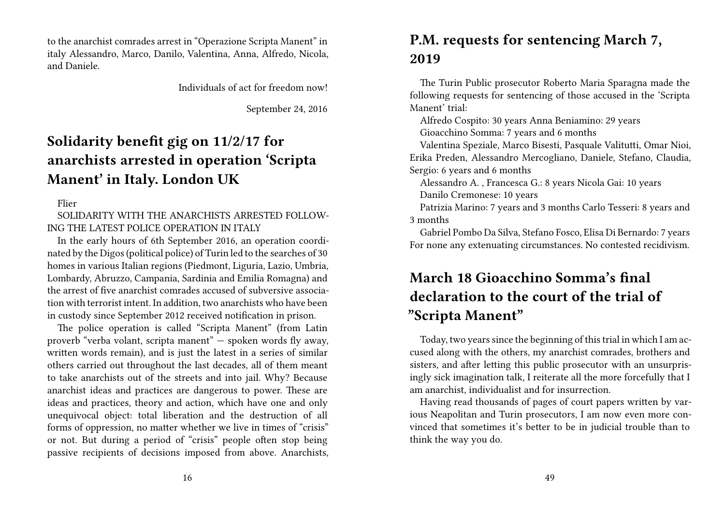to the anarchist comrades arrest in "Operazione Scripta Manent" in italy Alessandro, Marco, Danilo, Valentina, Anna, Alfredo, Nicola, and Daniele.

Individuals of act for freedom now!

September 24, 2016

# **Solidarity benefit gig on 11/2/17 for anarchists arrested in operation 'Scripta Manent' in Italy. London UK**

Flier

SOLIDARITY WITH THE ANARCHISTS ARRESTED FOLLOW-ING THE LATEST POLICE OPERATION IN ITALY

In the early hours of 6th September 2016, an operation coordinated by the Digos (political police) of Turin led to the searches of 30 homes in various Italian regions (Piedmont, Liguria, Lazio, Umbria, Lombardy, Abruzzo, Campania, Sardinia and Emilia Romagna) and the arrest of five anarchist comrades accused of subversive association with terrorist intent. In addition, two anarchists who have been in custody since September 2012 received notification in prison.

The police operation is called "Scripta Manent" (from Latin proverb "verba volant, scripta manent" — spoken words fly away, written words remain), and is just the latest in a series of similar others carried out throughout the last decades, all of them meant to take anarchists out of the streets and into jail. Why? Because anarchist ideas and practices are dangerous to power. These are ideas and practices, theory and action, which have one and only unequivocal object: total liberation and the destruction of all forms of oppression, no matter whether we live in times of "crisis" or not. But during a period of "crisis" people often stop being passive recipients of decisions imposed from above. Anarchists,

# **P.M. requests for sentencing March 7, 2019**

The Turin Public prosecutor Roberto Maria Sparagna made the following requests for sentencing of those accused in the 'Scripta Manent' trial:

Alfredo Cospito: 30 years Anna Beniamino: 29 years

Gioacchino Somma: 7 years and 6 months

Valentina Speziale, Marco Bisesti, Pasquale Valitutti, Omar Nioi, Erika Preden, Alessandro Mercogliano, Daniele, Stefano, Claudia, Sergio: 6 years and 6 months

Alessandro A. , Francesca G.: 8 years Nicola Gai: 10 years

Danilo Cremonese: 10 years

Patrizia Marino: 7 years and 3 months Carlo Tesseri: 8 years and 3 months

Gabriel Pombo Da Silva, Stefano Fosco, Elisa Di Bernardo: 7 years For none any extenuating circumstances. No contested recidivism.

# **March 18 Gioacchino Somma's final declaration to the court of the trial of "Scripta Manent"**

Today, two years since the beginning of this trial in which I am accused along with the others, my anarchist comrades, brothers and sisters, and after letting this public prosecutor with an unsurprisingly sick imagination talk, I reiterate all the more forcefully that I am anarchist, individualist and for insurrection.

Having read thousands of pages of court papers written by various Neapolitan and Turin prosecutors, I am now even more convinced that sometimes it's better to be in judicial trouble than to think the way you do.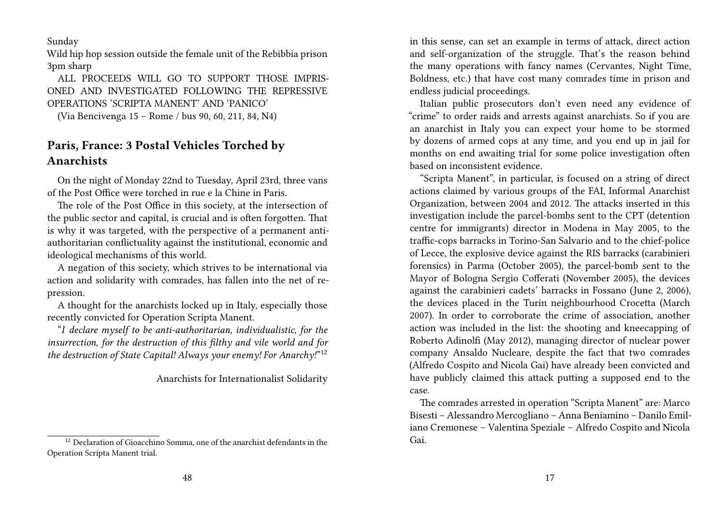Sunday

Wild hip hop session outside the female unit of the Rebibbia prison 3pm sharp

ALL PROCEEDS WILL GO TO SUPPORT THOSE IMPRIS-ONED AND INVESTIGATED FOLLOWING THE REPRESSIVE OPERATIONS 'SCRIPTA MANENT' AND 'PANICO'

(Via Bencivenga 15 – Rome / bus 90, 60, 211, 84, N4)

### **Paris, France: 3 Postal Vehicles Torched by Anarchists**

On the night of Monday 22nd to Tuesday, April 23rd, three vans of the Post Office were torched in rue e la Chine in Paris.

The role of the Post Office in this society, at the intersection of the public sector and capital, is crucial and is often forgotten. That is why it was targeted, with the perspective of a permanent antiauthoritarian conflictuality against the institutional, economic and ideological mechanisms of this world.

A negation of this society, which strives to be international via action and solidarity with comrades, has fallen into the net of repression.

A thought for the anarchists locked up in Italy, especially those recently convicted for Operation Scripta Manent.

"*I declare myself to be anti-authoritarian, individualistic, for the insurrection, for the destruction of this filthy and vile world and for the destruction of State Capital! Always your enemy! For Anarchy!*" 12

Anarchists for Internationalist Solidarity

<sup>12</sup> Declaration of Gioacchino Somma, one of the anarchist defendants in the Operation Scripta Manent trial.

in this sense, can set an example in terms of attack, direct action and self-organization of the struggle. That's the reason behind the many operations with fancy names (Cervantes, Night Time, Boldness, etc.) that have cost many comrades time in prison and endless judicial proceedings.

Italian public prosecutors don't even need any evidence of "crime" to order raids and arrests against anarchists. So if you are an anarchist in Italy you can expect your home to be stormed by dozens of armed cops at any time, and you end up in jail for months on end awaiting trial for some police investigation often based on inconsistent evidence.

"Scripta Manent", in particular, is focused on a string of direct actions claimed by various groups of the FAI, Informal Anarchist Organization, between 2004 and 2012. The attacks inserted in this investigation include the parcel-bombs sent to the CPT (detention centre for immigrants) director in Modena in May 2005, to the traffic-cops barracks in Torino-San Salvario and to the chief-police of Lecce, the explosive device against the RIS barracks (carabinieri forensics) in Parma (October 2005), the parcel-bomb sent to the Mayor of Bologna Sergio Cofferati (November 2005), the devices against the carabinieri cadets' barracks in Fossano (June 2, 2006), the devices placed in the Turin neighbourhood Crocetta (March 2007). In order to corroborate the crime of association, another action was included in the list: the shooting and kneecapping of Roberto Adinolfi (May 2012), managing director of nuclear power company Ansaldo Nucleare, despite the fact that two comrades (Alfredo Cospito and Nicola Gai) have already been convicted and have publicly claimed this attack putting a supposed end to the case.

The comrades arrested in operation "Scripta Manent" are: Marco Bisesti – Alessandro Mercogliano – Anna Beniamino – Danilo Emiliano Cremonese – Valentina Speziale – Alfredo Cospito and Nicola Gai.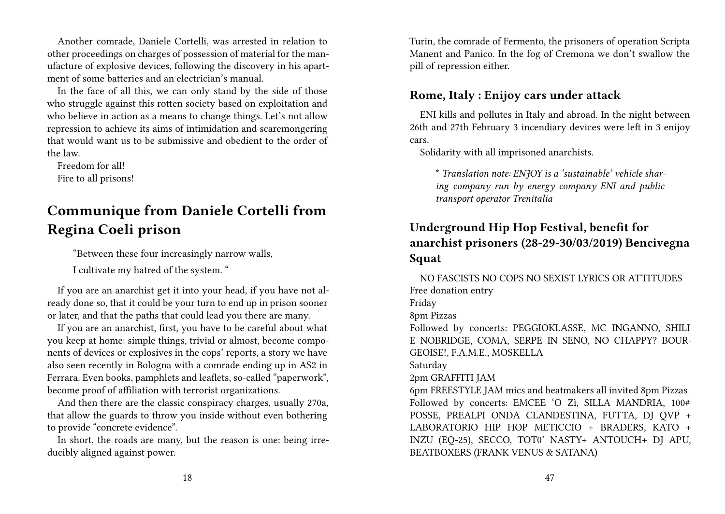Another comrade, Daniele Cortelli, was arrested in relation to other proceedings on charges of possession of material for the manufacture of explosive devices, following the discovery in his apartment of some batteries and an electrician's manual.

In the face of all this, we can only stand by the side of those who struggle against this rotten society based on exploitation and who believe in action as a means to change things. Let's not allow repression to achieve its aims of intimidation and scaremongering that would want us to be submissive and obedient to the order of the law.

Freedom for all! Fire to all prisons!

# **Communique from Daniele Cortelli from Regina Coeli prison**

"Between these four increasingly narrow walls,

I cultivate my hatred of the system. "

If you are an anarchist get it into your head, if you have not already done so, that it could be your turn to end up in prison sooner or later, and that the paths that could lead you there are many.

If you are an anarchist, first, you have to be careful about what you keep at home: simple things, trivial or almost, become components of devices or explosives in the cops' reports, a story we have also seen recently in Bologna with a comrade ending up in AS2 in Ferrara. Even books, pamphlets and leaflets, so-called "paperwork", become proof of affiliation with terrorist organizations.

And then there are the classic conspiracy charges, usually 270a, that allow the guards to throw you inside without even bothering to provide "concrete evidence".

In short, the roads are many, but the reason is one: being irreducibly aligned against power.

Turin, the comrade of Fermento, the prisoners of operation Scripta Manent and Panico. In the fog of Cremona we don't swallow the pill of repression either.

### **Rome, Italy : Enijoy cars under attack**

ENI kills and pollutes in Italy and abroad. In the night between 26th and 27th February 3 incendiary devices were left in 3 enijoy cars.

Solidarity with all imprisoned anarchists.

\* *Translation note: ENJOY is a 'sustainable' vehicle sharing company run by energy company ENI and public transport operator Trenitalia*

### **Underground Hip Hop Festival, benefit for anarchist prisoners (28-29-30/03/2019) Bencivegna Squat**

NO FASCISTS NO COPS NO SEXIST LYRICS OR ATTITUDES Free donation entry

Friday

8pm Pizzas

Followed by concerts: PEGGIOKLASSE, MC INGANNO, SHILI E NOBRIDGE, COMA, SERPE IN SENO, NO CHAPPY? BOUR-GEOISE!, F.A.M.E., MOSKELLA

Saturday

#### 2pm GRAFFITI JAM

6pm FREESTYLE JAM mics and beatmakers all invited 8pm Pizzas Followed by concerts: EMCEE 'O Zì, SILLA MANDRIA, 100# POSSE, PREALPI ONDA CLANDESTINA, FUTTA, DJ QVP + LABORATORIO HIP HOP METICCIO + BRADERS, KATO + INZU (EQ-25), SECCO, TOT0' NASTY+ ANTOUCH+ DJ APU, BEATBOXERS (FRANK VENUS & SATANA)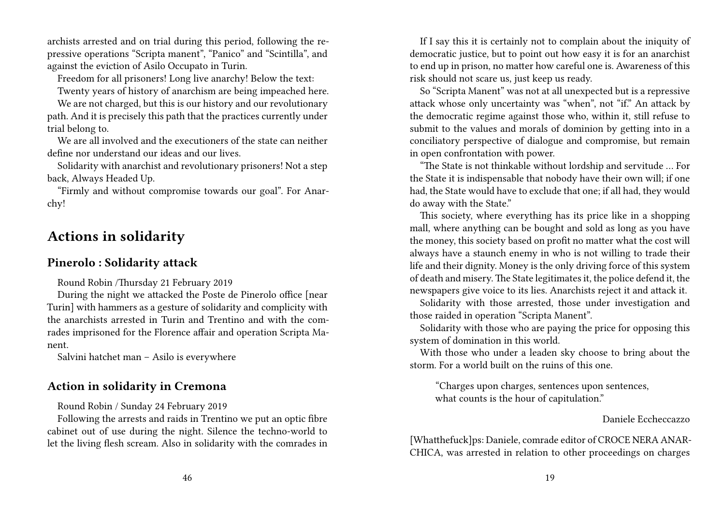archists arrested and on trial during this period, following the repressive operations "Scripta manent", "Panico" and "Scintilla", and against the eviction of Asilo Occupato in Turin.

Freedom for all prisoners! Long live anarchy! Below the text:

Twenty years of history of anarchism are being impeached here.

We are not charged, but this is our history and our revolutionary path. And it is precisely this path that the practices currently under trial belong to.

We are all involved and the executioners of the state can neither define nor understand our ideas and our lives.

Solidarity with anarchist and revolutionary prisoners! Not a step back, Always Headed Up.

"Firmly and without compromise towards our goal". For Anarchy!

### **Actions in solidarity**

### **Pinerolo : Solidarity attack**

Round Robin /Thursday 21 February 2019

During the night we attacked the Poste de Pinerolo office [near Turin] with hammers as a gesture of solidarity and complicity with the anarchists arrested in Turin and Trentino and with the comrades imprisoned for the Florence affair and operation Scripta Manent.

Salvini hatchet man – Asilo is everywhere

### **Action in solidarity in Cremona**

Round Robin / Sunday 24 February 2019

Following the arrests and raids in Trentino we put an optic fibre cabinet out of use during the night. Silence the techno-world to let the living flesh scream. Also in solidarity with the comrades in

If I say this it is certainly not to complain about the iniquity of democratic justice, but to point out how easy it is for an anarchist to end up in prison, no matter how careful one is. Awareness of this risk should not scare us, just keep us ready.

So "Scripta Manent" was not at all unexpected but is a repressive attack whose only uncertainty was "when", not "if." An attack by the democratic regime against those who, within it, still refuse to submit to the values and morals of dominion by getting into in a conciliatory perspective of dialogue and compromise, but remain in open confrontation with power.

"The State is not thinkable without lordship and servitude … For the State it is indispensable that nobody have their own will; if one had, the State would have to exclude that one; if all had, they would do away with the State."

This society, where everything has its price like in a shopping mall, where anything can be bought and sold as long as you have the money, this society based on profit no matter what the cost will always have a staunch enemy in who is not willing to trade their life and their dignity. Money is the only driving force of this system of death and misery. The State legitimates it, the police defend it, the newspapers give voice to its lies. Anarchists reject it and attack it.

Solidarity with those arrested, those under investigation and those raided in operation "Scripta Manent".

Solidarity with those who are paying the price for opposing this system of domination in this world.

With those who under a leaden sky choose to bring about the storm. For a world built on the ruins of this one.

"Charges upon charges, sentences upon sentences, what counts is the hour of capitulation."

#### Daniele Eccheccazzo

[Whatthefuck]ps: Daniele, comrade editor of CROCE NERA ANAR-CHICA, was arrested in relation to other proceedings on charges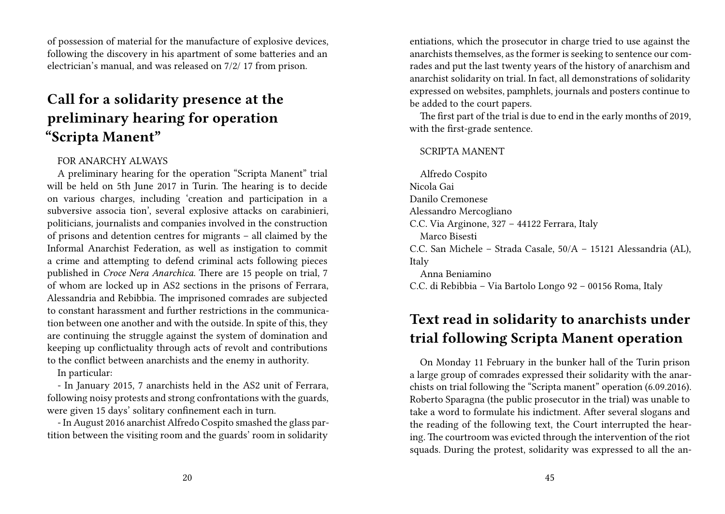of possession of material for the manufacture of explosive devices, following the discovery in his apartment of some batteries and an electrician's manual, and was released on 7/2/ 17 from prison.

# **Call for a solidarity presence at the preliminary hearing for operation "Scripta Manent"**

#### FOR ANARCHY ALWAYS

A preliminary hearing for the operation "Scripta Manent" trial will be held on 5th June 2017 in Turin. The hearing is to decide on various charges, including 'creation and participation in a subversive associa tion', several explosive attacks on carabinieri, politicians, journalists and companies involved in the construction of prisons and detention centres for migrants – all claimed by the Informal Anarchist Federation, as well as instigation to commit a crime and attempting to defend criminal acts following pieces published in *Croce Nera Anarchica*. There are 15 people on trial, 7 of whom are locked up in AS2 sections in the prisons of Ferrara, Alessandria and Rebibbia. The imprisoned comrades are subjected to constant harassment and further restrictions in the communication between one another and with the outside. In spite of this, they are continuing the struggle against the system of domination and keeping up conflictuality through acts of revolt and contributions to the conflict between anarchists and the enemy in authority.

In particular:

- In January 2015, 7 anarchists held in the AS2 unit of Ferrara, following noisy protests and strong confrontations with the guards, were given 15 days' solitary confinement each in turn.

- In August 2016 anarchist Alfredo Cospito smashed the glass partition between the visiting room and the guards' room in solidarity

entiations, which the prosecutor in charge tried to use against the anarchists themselves, as the former is seeking to sentence our comrades and put the last twenty years of the history of anarchism and anarchist solidarity on trial. In fact, all demonstrations of solidarity expressed on websites, pamphlets, journals and posters continue to be added to the court papers.

The first part of the trial is due to end in the early months of 2019, with the first-grade sentence.

#### SCRIPTA MANENT

Alfredo Cospito Nicola Gai Danilo Cremonese Alessandro Mercogliano C.C. Via Arginone, 327 – 44122 Ferrara, Italy Marco Bisesti C.C. San Michele – Strada Casale, 50/A – 15121 Alessandria (AL), Italy Anna Beniamino C.C. di Rebibbia – Via Bartolo Longo 92 – 00156 Roma, Italy

# **Text read in solidarity to anarchists under trial following Scripta Manent operation**

On Monday 11 February in the bunker hall of the Turin prison a large group of comrades expressed their solidarity with the anarchists on trial following the "Scripta manent" operation (6.09.2016). Roberto Sparagna (the public prosecutor in the trial) was unable to take a word to formulate his indictment. After several slogans and the reading of the following text, the Court interrupted the hearing. The courtroom was evicted through the intervention of the riot squads. During the protest, solidarity was expressed to all the an-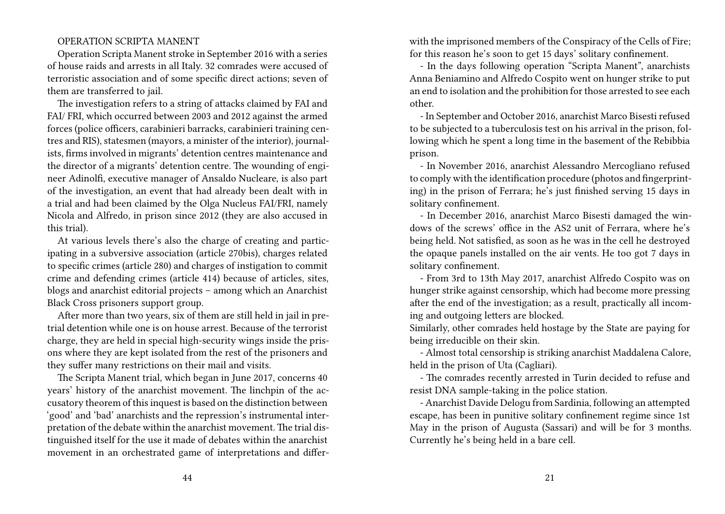#### OPERATION SCRIPTA MANENT

Operation Scripta Manent stroke in September 2016 with a series of house raids and arrests in all Italy. 32 comrades were accused of terroristic association and of some specific direct actions; seven of them are transferred to jail.

The investigation refers to a string of attacks claimed by FAI and FAI/ FRI, which occurred between 2003 and 2012 against the armed forces (police officers, carabinieri barracks, carabinieri training centres and RIS), statesmen (mayors, a minister of the interior), journalists, firms involved in migrants' detention centres maintenance and the director of a migrants' detention centre. The wounding of engineer Adinolfi, executive manager of Ansaldo Nucleare, is also part of the investigation, an event that had already been dealt with in a trial and had been claimed by the Olga Nucleus FAI/FRI, namely Nicola and Alfredo, in prison since 2012 (they are also accused in this trial).

At various levels there's also the charge of creating and participating in a subversive association (article 270bis), charges related to specific crimes (article 280) and charges of instigation to commit crime and defending crimes (article 414) because of articles, sites, blogs and anarchist editorial projects – among which an Anarchist Black Cross prisoners support group.

After more than two years, six of them are still held in jail in pretrial detention while one is on house arrest. Because of the terrorist charge, they are held in special high-security wings inside the prisons where they are kept isolated from the rest of the prisoners and they suffer many restrictions on their mail and visits.

The Scripta Manent trial, which began in June 2017, concerns 40 years' history of the anarchist movement. The linchpin of the accusatory theorem of this inquest is based on the distinction between 'good' and 'bad' anarchists and the repression's instrumental interpretation of the debate within the anarchist movement. The trial distinguished itself for the use it made of debates within the anarchist movement in an orchestrated game of interpretations and differwith the imprisoned members of the Conspiracy of the Cells of Fire; for this reason he's soon to get 15 days' solitary confinement.

- In the days following operation "Scripta Manent", anarchists Anna Beniamino and Alfredo Cospito went on hunger strike to put an end to isolation and the prohibition for those arrested to see each other.

- In September and October 2016, anarchist Marco Bisesti refused to be subjected to a tuberculosis test on his arrival in the prison, following which he spent a long time in the basement of the Rebibbia prison.

- In November 2016, anarchist Alessandro Mercogliano refused to comply with the identification procedure (photos and fingerprinting) in the prison of Ferrara; he's just finished serving 15 days in solitary confinement.

- In December 2016, anarchist Marco Bisesti damaged the windows of the screws' office in the AS2 unit of Ferrara, where he's being held. Not satisfied, as soon as he was in the cell he destroyed the opaque panels installed on the air vents. He too got 7 days in solitary confinement.

- From 3rd to 13th May 2017, anarchist Alfredo Cospito was on hunger strike against censorship, which had become more pressing after the end of the investigation; as a result, practically all incoming and outgoing letters are blocked.

Similarly, other comrades held hostage by the State are paying for being irreducible on their skin.

- Almost total censorship is striking anarchist Maddalena Calore, held in the prison of Uta (Cagliari).

- The comrades recently arrested in Turin decided to refuse and resist DNA sample-taking in the police station.

- Anarchist Davide Delogu from Sardinia, following an attempted escape, has been in punitive solitary confinement regime since 1st May in the prison of Augusta (Sassari) and will be for 3 months. Currently he's being held in a bare cell.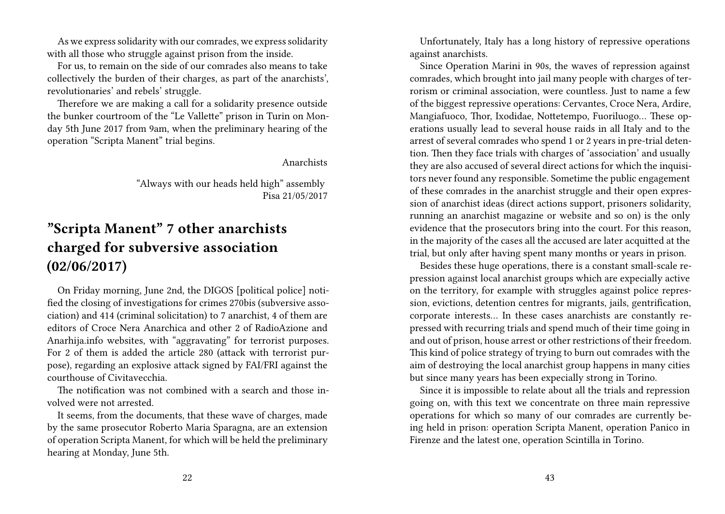As we express solidarity with our comrades, we express solidarity with all those who struggle against prison from the inside.

For us, to remain on the side of our comrades also means to take collectively the burden of their charges, as part of the anarchists', revolutionaries' and rebels' struggle.

Therefore we are making a call for a solidarity presence outside the bunker courtroom of the "Le Vallette" prison in Turin on Monday 5th June 2017 from 9am, when the preliminary hearing of the operation "Scripta Manent" trial begins.

Anarchists

"Always with our heads held high" assembly Pisa 21/05/2017

# **"Scripta Manent" 7 other anarchists charged for subversive association (02/06/2017)**

On Friday morning, June 2nd, the DIGOS [political police] notified the closing of investigations for crimes 270bis (subversive association) and 414 (criminal solicitation) to 7 anarchist, 4 of them are editors of Croce Nera Anarchica and other 2 of RadioAzione and Anarhija.info websites, with "aggravating" for terrorist purposes. For 2 of them is added the article 280 (attack with terrorist purpose), regarding an explosive attack signed by FAI/FRI against the courthouse of Civitavecchia.

The notification was not combined with a search and those involved were not arrested.

It seems, from the documents, that these wave of charges, made by the same prosecutor Roberto Maria Sparagna, are an extension of operation Scripta Manent, for which will be held the preliminary hearing at Monday, June 5th.

Unfortunately, Italy has a long history of repressive operations against anarchists.

Since Operation Marini in 90s, the waves of repression against comrades, which brought into jail many people with charges of terrorism or criminal association, were countless. Just to name a few of the biggest repressive operations: Cervantes, Croce Nera, Ardire, Mangiafuoco, Thor, Ixodidae, Nottetempo, Fuoriluogo… These operations usually lead to several house raids in all Italy and to the arrest of several comrades who spend 1 or 2 years in pre-trial detention. Then they face trials with charges of 'association' and usually they are also accused of several direct actions for which the inquisitors never found any responsible. Sometime the public engagement of these comrades in the anarchist struggle and their open expression of anarchist ideas (direct actions support, prisoners solidarity, running an anarchist magazine or website and so on) is the only evidence that the prosecutors bring into the court. For this reason, in the majority of the cases all the accused are later acquitted at the trial, but only after having spent many months or years in prison.

Besides these huge operations, there is a constant small-scale repression against local anarchist groups which are expecially active on the territory, for example with struggles against police repression, evictions, detention centres for migrants, jails, gentrification, corporate interests… In these cases anarchists are constantly repressed with recurring trials and spend much of their time going in and out of prison, house arrest or other restrictions of their freedom. This kind of police strategy of trying to burn out comrades with the aim of destroying the local anarchist group happens in many cities but since many years has been expecially strong in Torino.

Since it is impossible to relate about all the trials and repression going on, with this text we concentrate on three main repressive operations for which so many of our comrades are currently being held in prison: operation Scripta Manent, operation Panico in Firenze and the latest one, operation Scintilla in Torino.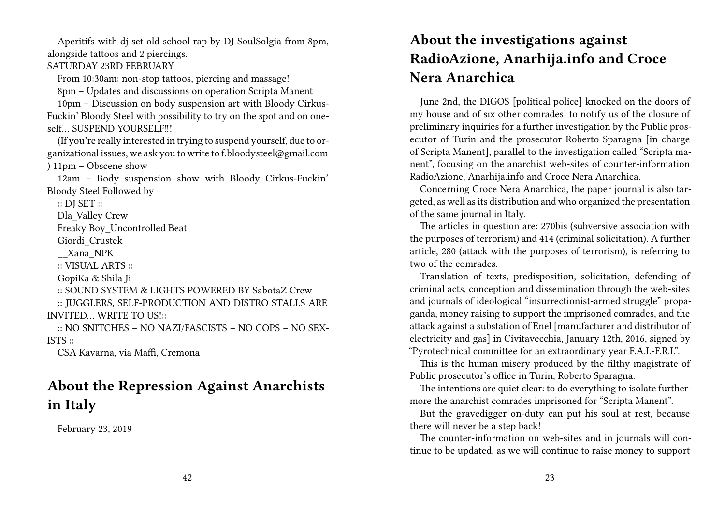Aperitifs with dj set old school rap by DJ SoulSolgia from 8pm, alongside tattoos and 2 piercings. SATURDAY 23RD FEBRUARY

From 10:30am: non-stop tattoos, piercing and massage!

8pm – Updates and discussions on operation Scripta Manent

10pm – Discussion on body suspension art with Bloody Cirkus-Fuckin' Bloody Steel with possibility to try on the spot and on oneself… SUSPEND YOURSELF‼!

(If you're really interested in trying to suspend yourself, due to organizational issues, we ask you to write to f.bloodysteel@gmail.com ) 11pm – Obscene show

12am – Body suspension show with Bloody Cirkus-Fuckin' Bloody Steel Followed by

:: DJ SET ::

Dla\_Valley Crew

Freaky Boy\_Uncontrolled Beat

Giordi\_Crustek

\_\_Xana\_NPK

:: VISUAL ARTS ::

GopiKa & Shila Ji

:: SOUND SYSTEM & LIGHTS POWERED BY SabotaZ Crew

:: JUGGLERS, SELF-PRODUCTION AND DISTRO STALLS ARE INVITED… WRITE TO US!::

:: NO SNITCHES – NO NAZI/FASCISTS – NO COPS – NO SEX-ISTS ::

CSA Kavarna, via Maffi, Cremona

# **About the Repression Against Anarchists in Italy**

February 23, 2019

# **About the investigations against RadioAzione, Anarhija.info and Croce Nera Anarchica**

June 2nd, the DIGOS [political police] knocked on the doors of my house and of six other comrades' to notify us of the closure of preliminary inquiries for a further investigation by the Public prosecutor of Turin and the prosecutor Roberto Sparagna [in charge of Scripta Manent], parallel to the investigation called "Scripta manent", focusing on the anarchist web-sites of counter-information RadioAzione, Anarhija.info and Croce Nera Anarchica.

Concerning Croce Nera Anarchica, the paper journal is also targeted, as well as its distribution and who organized the presentation of the same journal in Italy.

The articles in question are: 270bis (subversive association with the purposes of terrorism) and 414 (criminal solicitation). A further article, 280 (attack with the purposes of terrorism), is referring to two of the comrades.

Translation of texts, predisposition, solicitation, defending of criminal acts, conception and dissemination through the web-sites and journals of ideological "insurrectionist-armed struggle" propaganda, money raising to support the imprisoned comrades, and the attack against a substation of Enel [manufacturer and distributor of electricity and gas] in Civitavecchia, January 12th, 2016, signed by "Pyrotechnical committee for an extraordinary year F.A.I.-F.R.I.".

This is the human misery produced by the filthy magistrate of Public prosecutor's office in Turin, Roberto Sparagna.

The intentions are quiet clear: to do everything to isolate furthermore the anarchist comrades imprisoned for "Scripta Manent".

But the gravedigger on-duty can put his soul at rest, because there will never be a step back!

The counter-information on web-sites and in journals will continue to be updated, as we will continue to raise money to support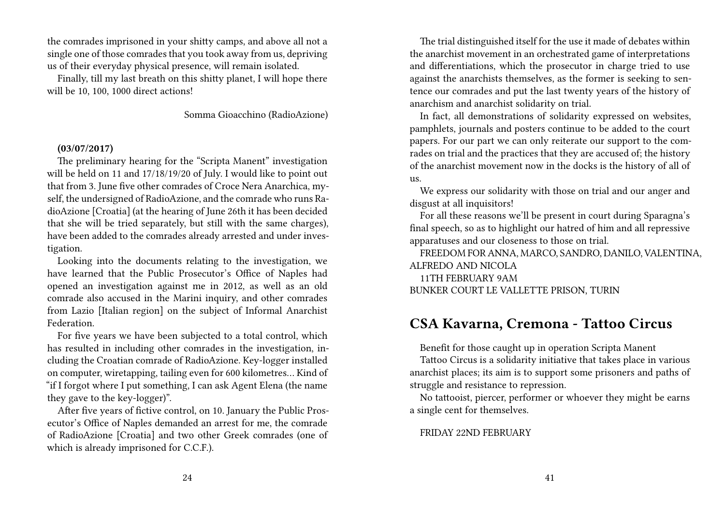the comrades imprisoned in your shitty camps, and above all not a single one of those comrades that you took away from us, depriving us of their everyday physical presence, will remain isolated.

Finally, till my last breath on this shitty planet, I will hope there will be 10, 100, 1000 direct actions!

Somma Gioacchino (RadioAzione)

#### **(03/07/2017)**

The preliminary hearing for the "Scripta Manent" investigation will be held on 11 and 17/18/19/20 of July. I would like to point out that from 3. June five other comrades of Croce Nera Anarchica, myself, the undersigned of RadioAzione, and the comrade who runs RadioAzione [Croatia] (at the hearing of June 26th it has been decided that she will be tried separately, but still with the same charges), have been added to the comrades already arrested and under investigation.

Looking into the documents relating to the investigation, we have learned that the Public Prosecutor's Office of Naples had opened an investigation against me in 2012, as well as an old comrade also accused in the Marini inquiry, and other comrades from Lazio [Italian region] on the subject of Informal Anarchist Federation.

For five years we have been subjected to a total control, which has resulted in including other comrades in the investigation, including the Croatian comrade of RadioAzione. Key-logger installed on computer, wiretapping, tailing even for 600 kilometres… Kind of "if I forgot where I put something, I can ask Agent Elena (the name they gave to the key-logger)".

After five years of fictive control, on 10. January the Public Prosecutor's Office of Naples demanded an arrest for me, the comrade of RadioAzione [Croatia] and two other Greek comrades (one of which is already imprisoned for C.C.F.).

The trial distinguished itself for the use it made of debates within the anarchist movement in an orchestrated game of interpretations and differentiations, which the prosecutor in charge tried to use against the anarchists themselves, as the former is seeking to sentence our comrades and put the last twenty years of the history of anarchism and anarchist solidarity on trial.

In fact, all demonstrations of solidarity expressed on websites, pamphlets, journals and posters continue to be added to the court papers. For our part we can only reiterate our support to the comrades on trial and the practices that they are accused of; the history of the anarchist movement now in the docks is the history of all of us.

We express our solidarity with those on trial and our anger and disgust at all inquisitors!

For all these reasons we'll be present in court during Sparagna's final speech, so as to highlight our hatred of him and all repressive apparatuses and our closeness to those on trial.

FREEDOM FOR ANNA, MARCO, SANDRO, DANILO, VALENTINA, ALFREDO AND NICOLA

11TH FEBRUARY 9AM BUNKER COURT LE VALLETTE PRISON, TURIN

### **CSA Kavarna, Cremona - Tattoo Circus**

Benefit for those caught up in operation Scripta Manent

Tattoo Circus is a solidarity initiative that takes place in various anarchist places; its aim is to support some prisoners and paths of struggle and resistance to repression.

No tattooist, piercer, performer or whoever they might be earns a single cent for themselves.

FRIDAY 22ND FEBRUARY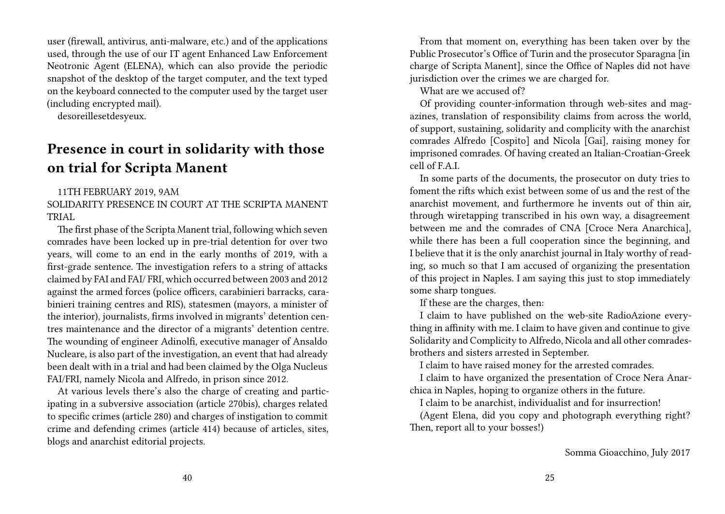user (firewall, antivirus, anti-malware, etc.) and of the applications used, through the use of our IT agent Enhanced Law Enforcement Neotronic Agent (ELENA), which can also provide the periodic snapshot of the desktop of the target computer, and the text typed on the keyboard connected to the computer used by the target user (including encrypted mail).

desoreillesetdesyeux.

# **Presence in court in solidarity with those on trial for Scripta Manent**

#### 11TH FEBRUARY 2019, 9AM

SOLIDARITY PRESENCE IN COURT AT THE SCRIPTA MANENT TRIAL

The first phase of the Scripta Manent trial, following which seven comrades have been locked up in pre-trial detention for over two years, will come to an end in the early months of 2019, with a first-grade sentence. The investigation refers to a string of attacks claimed by FAI and FAI/ FRI, which occurred between 2003 and 2012 against the armed forces (police officers, carabinieri barracks, carabinieri training centres and RIS), statesmen (mayors, a minister of the interior), journalists, firms involved in migrants' detention centres maintenance and the director of a migrants' detention centre. The wounding of engineer Adinolfi, executive manager of Ansaldo Nucleare, is also part of the investigation, an event that had already been dealt with in a trial and had been claimed by the Olga Nucleus FAI/FRI, namely Nicola and Alfredo, in prison since 2012.

At various levels there's also the charge of creating and participating in a subversive association (article 270bis), charges related to specific crimes (article 280) and charges of instigation to commit crime and defending crimes (article 414) because of articles, sites, blogs and anarchist editorial projects.

From that moment on, everything has been taken over by the Public Prosecutor's Office of Turin and the prosecutor Sparagna [in charge of Scripta Manent], since the Office of Naples did not have jurisdiction over the crimes we are charged for.

What are we accused of?

Of providing counter-information through web-sites and magazines, translation of responsibility claims from across the world, of support, sustaining, solidarity and complicity with the anarchist comrades Alfredo [Cospito] and Nicola [Gai], raising money for imprisoned comrades. Of having created an Italian-Croatian-Greek cell of F.A.I.

In some parts of the documents, the prosecutor on duty tries to foment the rifts which exist between some of us and the rest of the anarchist movement, and furthermore he invents out of thin air, through wiretapping transcribed in his own way, a disagreement between me and the comrades of CNA [Croce Nera Anarchica], while there has been a full cooperation since the beginning, and I believe that it is the only anarchist journal in Italy worthy of reading, so much so that I am accused of organizing the presentation of this project in Naples. I am saying this just to stop immediately some sharp tongues.

If these are the charges, then:

I claim to have published on the web-site RadioAzione everything in affinity with me. I claim to have given and continue to give Solidarity and Complicity to Alfredo, Nicola and all other comradesbrothers and sisters arrested in September.

I claim to have raised money for the arrested comrades.

I claim to have organized the presentation of Croce Nera Anarchica in Naples, hoping to organize others in the future.

I claim to be anarchist, individualist and for insurrection!

(Agent Elena, did you copy and photograph everything right? Then, report all to your bosses!)

Somma Gioacchino, July 2017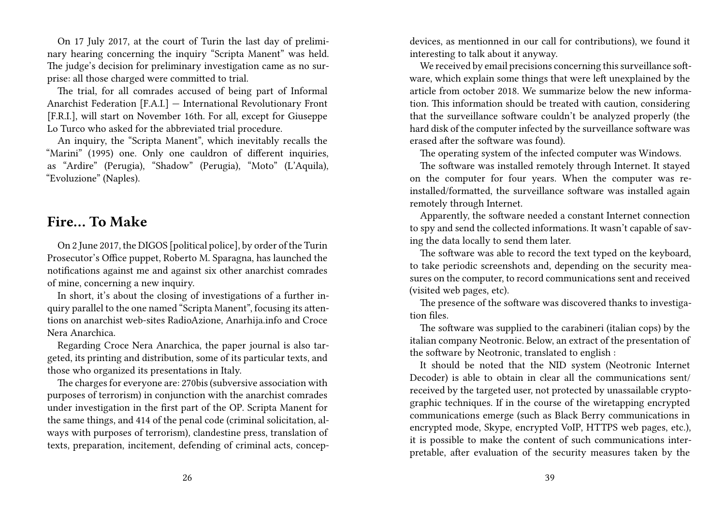On 17 July 2017, at the court of Turin the last day of preliminary hearing concerning the inquiry "Scripta Manent" was held. The judge's decision for preliminary investigation came as no surprise: all those charged were committed to trial.

The trial, for all comrades accused of being part of Informal Anarchist Federation [F.A.I.] — International Revolutionary Front [F.R.I.], will start on November 16th. For all, except for Giuseppe Lo Turco who asked for the abbreviated trial procedure.

An inquiry, the "Scripta Manent", which inevitably recalls the "Marini" (1995) one. Only one cauldron of different inquiries, as "Ardire" (Perugia), "Shadow" (Perugia), "Moto" (L'Aquila), "Evoluzione" (Naples).

### **Fire… To Make**

On 2 June 2017, the DIGOS [political police], by order of the Turin Prosecutor's Office puppet, Roberto M. Sparagna, has launched the notifications against me and against six other anarchist comrades of mine, concerning a new inquiry.

In short, it's about the closing of investigations of a further inquiry parallel to the one named "Scripta Manent", focusing its attentions on anarchist web-sites RadioAzione, Anarhija.info and Croce Nera Anarchica.

Regarding Croce Nera Anarchica, the paper journal is also targeted, its printing and distribution, some of its particular texts, and those who organized its presentations in Italy.

The charges for everyone are: 270bis (subversive association with purposes of terrorism) in conjunction with the anarchist comrades under investigation in the first part of the OP. Scripta Manent for the same things, and 414 of the penal code (criminal solicitation, always with purposes of terrorism), clandestine press, translation of texts, preparation, incitement, defending of criminal acts, concepdevices, as mentionned in our call for contributions), we found it interesting to talk about it anyway.

We received by email precisions concerning this surveillance software, which explain some things that were left unexplained by the article from october 2018. We summarize below the new information. This information should be treated with caution, considering that the surveillance software couldn't be analyzed properly (the hard disk of the computer infected by the surveillance software was erased after the software was found).

The operating system of the infected computer was Windows.

The software was installed remotely through Internet. It stayed on the computer for four years. When the computer was reinstalled/formatted, the surveillance software was installed again remotely through Internet.

Apparently, the software needed a constant Internet connection to spy and send the collected informations. It wasn't capable of saving the data locally to send them later.

The software was able to record the text typed on the keyboard, to take periodic screenshots and, depending on the security measures on the computer, to record communications sent and received (visited web pages, etc).

The presence of the software was discovered thanks to investigation files.

The software was supplied to the carabineri (italian cops) by the italian company Neotronic. Below, an extract of the presentation of the software by Neotronic, translated to english :

It should be noted that the NID system (Neotronic Internet Decoder) is able to obtain in clear all the communications sent/ received by the targeted user, not protected by unassailable cryptographic techniques. If in the course of the wiretapping encrypted communications emerge (such as Black Berry communications in encrypted mode, Skype, encrypted VoIP, HTTPS web pages, etc.), it is possible to make the content of such communications interpretable, after evaluation of the security measures taken by the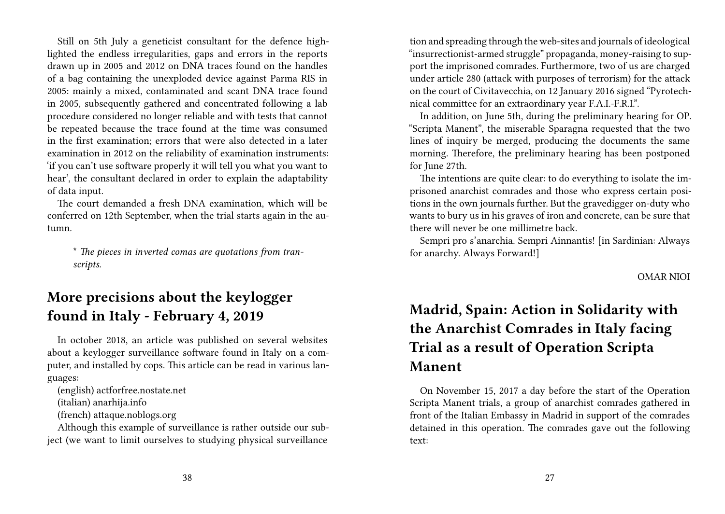Still on 5th July a geneticist consultant for the defence highlighted the endless irregularities, gaps and errors in the reports drawn up in 2005 and 2012 on DNA traces found on the handles of a bag containing the unexploded device against Parma RIS in 2005: mainly a mixed, contaminated and scant DNA trace found in 2005, subsequently gathered and concentrated following a lab procedure considered no longer reliable and with tests that cannot be repeated because the trace found at the time was consumed in the first examination; errors that were also detected in a later examination in 2012 on the reliability of examination instruments: 'if you can't use software properly it will tell you what you want to hear', the consultant declared in order to explain the adaptability of data input.

The court demanded a fresh DNA examination, which will be conferred on 12th September, when the trial starts again in the autumn.

\* *The pieces in inverted comas are quotations from transcripts.*

# **More precisions about the keylogger found in Italy - February 4, 2019**

In october 2018, an article was published on several websites about a keylogger surveillance software found in Italy on a computer, and installed by cops. This article can be read in various languages:

(english) actforfree.nostate.net

(italian) anarhija.info

(french) attaque.noblogs.org

Although this example of surveillance is rather outside our subject (we want to limit ourselves to studying physical surveillance

tion and spreading through the web-sites and journals of ideological "insurrectionist-armed struggle" propaganda, money-raising to support the imprisoned comrades. Furthermore, two of us are charged under article 280 (attack with purposes of terrorism) for the attack on the court of Civitavecchia, on 12 January 2016 signed "Pyrotechnical committee for an extraordinary year F.A.I.-F.R.I.".

In addition, on June 5th, during the preliminary hearing for OP. "Scripta Manent", the miserable Sparagna requested that the two lines of inquiry be merged, producing the documents the same morning. Therefore, the preliminary hearing has been postponed for June 27th.

The intentions are quite clear: to do everything to isolate the imprisoned anarchist comrades and those who express certain positions in the own journals further. But the gravedigger on-duty who wants to bury us in his graves of iron and concrete, can be sure that there will never be one millimetre back.

Sempri pro s'anarchia. Sempri Ainnantis! [in Sardinian: Always for anarchy. Always Forward!]

OMAR NIOI

# **Madrid, Spain: Action in Solidarity with the Anarchist Comrades in Italy facing Trial as a result of Operation Scripta Manent**

On November 15, 2017 a day before the start of the Operation Scripta Manent trials, a group of anarchist comrades gathered in front of the Italian Embassy in Madrid in support of the comrades detained in this operation. The comrades gave out the following text: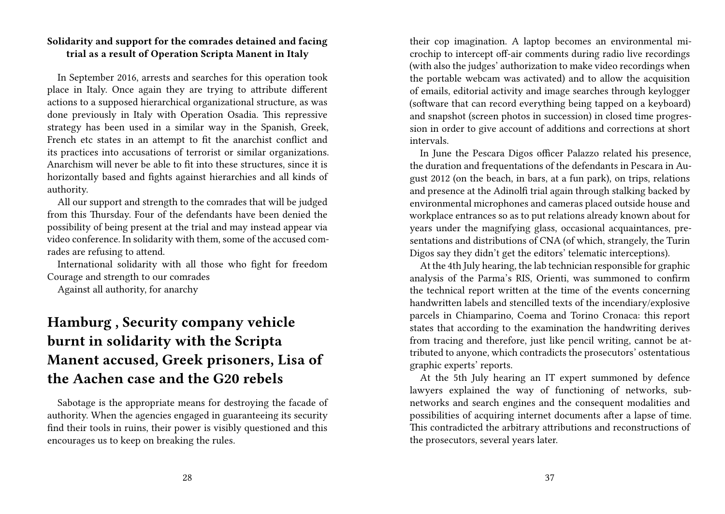#### **Solidarity and support for the comrades detained and facing trial as a result of Operation Scripta Manent in Italy**

In September 2016, arrests and searches for this operation took place in Italy. Once again they are trying to attribute different actions to a supposed hierarchical organizational structure, as was done previously in Italy with Operation Osadia. This repressive strategy has been used in a similar way in the Spanish, Greek, French etc states in an attempt to fit the anarchist conflict and its practices into accusations of terrorist or similar organizations. Anarchism will never be able to fit into these structures, since it is horizontally based and fights against hierarchies and all kinds of authority.

All our support and strength to the comrades that will be judged from this Thursday. Four of the defendants have been denied the possibility of being present at the trial and may instead appear via video conference. In solidarity with them, some of the accused comrades are refusing to attend.

International solidarity with all those who fight for freedom Courage and strength to our comrades

Against all authority, for anarchy

# **Hamburg , Security company vehicle burnt in solidarity with the Scripta Manent accused, Greek prisoners, Lisa of the Aachen case and the G20 rebels**

Sabotage is the appropriate means for destroying the facade of authority. When the agencies engaged in guaranteeing its security find their tools in ruins, their power is visibly questioned and this encourages us to keep on breaking the rules.

their cop imagination. A laptop becomes an environmental microchip to intercept off-air comments during radio live recordings (with also the judges' authorization to make video recordings when the portable webcam was activated) and to allow the acquisition of emails, editorial activity and image searches through keylogger (software that can record everything being tapped on a keyboard) and snapshot (screen photos in succession) in closed time progression in order to give account of additions and corrections at short intervals.

In June the Pescara Digos officer Palazzo related his presence, the duration and frequentations of the defendants in Pescara in August 2012 (on the beach, in bars, at a fun park), on trips, relations and presence at the Adinolfi trial again through stalking backed by environmental microphones and cameras placed outside house and workplace entrances so as to put relations already known about for years under the magnifying glass, occasional acquaintances, presentations and distributions of CNA (of which, strangely, the Turin Digos say they didn't get the editors' telematic interceptions).

At the 4th July hearing, the lab technician responsible for graphic analysis of the Parma's RIS, Orienti, was summoned to confirm the technical report written at the time of the events concerning handwritten labels and stencilled texts of the incendiary/explosive parcels in Chiamparino, Coema and Torino Cronaca: this report states that according to the examination the handwriting derives from tracing and therefore, just like pencil writing, cannot be attributed to anyone, which contradicts the prosecutors' ostentatious graphic experts' reports.

At the 5th July hearing an IT expert summoned by defence lawyers explained the way of functioning of networks, subnetworks and search engines and the consequent modalities and possibilities of acquiring internet documents after a lapse of time. This contradicted the arbitrary attributions and reconstructions of the prosecutors, several years later.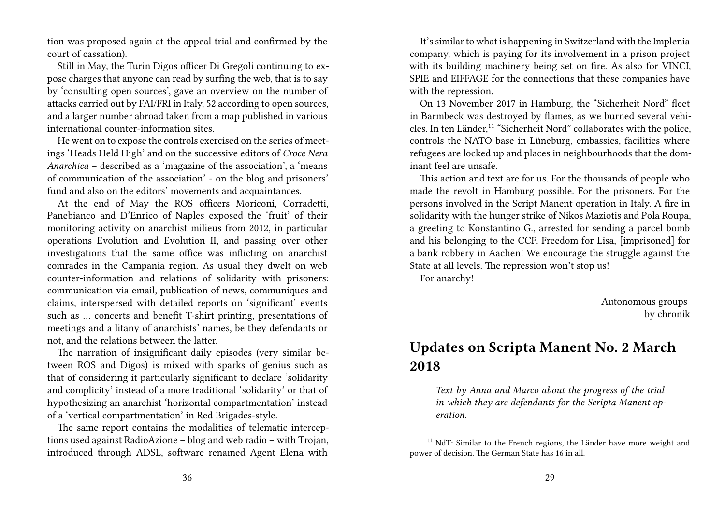tion was proposed again at the appeal trial and confirmed by the court of cassation).

Still in May, the Turin Digos officer Di Gregoli continuing to expose charges that anyone can read by surfing the web, that is to say by 'consulting open sources', gave an overview on the number of attacks carried out by FAI/FRI in Italy, 52 according to open sources, and a larger number abroad taken from a map published in various international counter-information sites.

He went on to expose the controls exercised on the series of meetings 'Heads Held High' and on the successive editors of *Croce Nera Anarchica* – described as a 'magazine of the association', a 'means of communication of the association' - on the blog and prisoners' fund and also on the editors' movements and acquaintances.

At the end of May the ROS officers Moriconi, Corradetti, Panebianco and D'Enrico of Naples exposed the 'fruit' of their monitoring activity on anarchist milieus from 2012, in particular operations Evolution and Evolution II, and passing over other investigations that the same office was inflicting on anarchist comrades in the Campania region. As usual they dwelt on web counter-information and relations of solidarity with prisoners: communication via email, publication of news, communiques and claims, interspersed with detailed reports on 'significant' events such as … concerts and benefit T-shirt printing, presentations of meetings and a litany of anarchists' names, be they defendants or not, and the relations between the latter.

The narration of insignificant daily episodes (very similar between ROS and Digos) is mixed with sparks of genius such as that of considering it particularly significant to declare 'solidarity and complicity' instead of a more traditional 'solidarity' or that of hypothesizing an anarchist 'horizontal compartmentation' instead of a 'vertical compartmentation' in Red Brigades-style.

The same report contains the modalities of telematic interceptions used against RadioAzione – blog and web radio – with Trojan, introduced through ADSL, software renamed Agent Elena with

It's similar to what is happening in Switzerland with the Implenia company, which is paying for its involvement in a prison project with its building machinery being set on fire. As also for VINCI, SPIE and EIFFAGE for the connections that these companies have with the repression.

On 13 November 2017 in Hamburg, the "Sicherheit Nord" fleet in Barmbeck was destroyed by flames, as we burned several vehicles. In ten Länder,<sup>11</sup> "Sicherheit Nord" collaborates with the police, controls the NATO base in Lüneburg, embassies, facilities where refugees are locked up and places in neighbourhoods that the dominant feel are unsafe.

This action and text are for us. For the thousands of people who made the revolt in Hamburg possible. For the prisoners. For the persons involved in the Script Manent operation in Italy. A fire in solidarity with the hunger strike of Nikos Maziotis and Pola Roupa, a greeting to Konstantino G., arrested for sending a parcel bomb and his belonging to the CCF. Freedom for Lisa, [imprisoned] for a bank robbery in Aachen! We encourage the struggle against the State at all levels. The repression won't stop us!

For anarchy!

Autonomous groups by chronik

# **Updates on Scripta Manent No. 2 March 2018**

*Text by Anna and Marco about the progress of the trial in which they are defendants for the Scripta Manent operation.*

<sup>&</sup>lt;sup>11</sup> NdT: Similar to the French regions, the Länder have more weight and power of decision. The German State has 16 in all.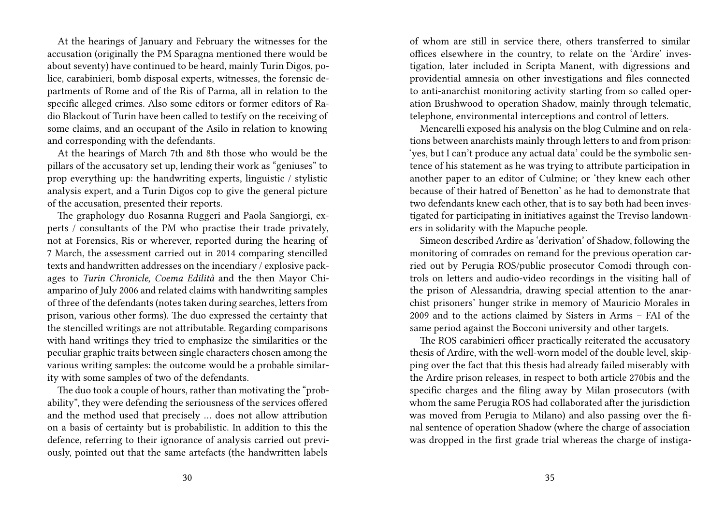At the hearings of January and February the witnesses for the accusation (originally the PM Sparagna mentioned there would be about seventy) have continued to be heard, mainly Turin Digos, police, carabinieri, bomb disposal experts, witnesses, the forensic departments of Rome and of the Ris of Parma, all in relation to the specific alleged crimes. Also some editors or former editors of Radio Blackout of Turin have been called to testify on the receiving of some claims, and an occupant of the Asilo in relation to knowing and corresponding with the defendants.

At the hearings of March 7th and 8th those who would be the pillars of the accusatory set up, lending their work as "geniuses" to prop everything up: the handwriting experts, linguistic / stylistic analysis expert, and a Turin Digos cop to give the general picture of the accusation, presented their reports.

The graphology duo Rosanna Ruggeri and Paola Sangiorgi, experts / consultants of the PM who practise their trade privately, not at Forensics, Ris or wherever, reported during the hearing of 7 March, the assessment carried out in 2014 comparing stencilled texts and handwritten addresses on the incendiary / explosive packages to *Turin Chronicle*, *Coema Edilità* and the then Mayor Chiamparino of July 2006 and related claims with handwriting samples of three of the defendants (notes taken during searches, letters from prison, various other forms). The duo expressed the certainty that the stencilled writings are not attributable. Regarding comparisons with hand writings they tried to emphasize the similarities or the peculiar graphic traits between single characters chosen among the various writing samples: the outcome would be a probable similarity with some samples of two of the defendants.

The duo took a couple of hours, rather than motivating the "probability", they were defending the seriousness of the services offered and the method used that precisely … does not allow attribution on a basis of certainty but is probabilistic. In addition to this the defence, referring to their ignorance of analysis carried out previously, pointed out that the same artefacts (the handwritten labels

of whom are still in service there, others transferred to similar offices elsewhere in the country, to relate on the 'Ardire' investigation, later included in Scripta Manent, with digressions and providential amnesia on other investigations and files connected to anti-anarchist monitoring activity starting from so called operation Brushwood to operation Shadow, mainly through telematic, telephone, environmental interceptions and control of letters.

Mencarelli exposed his analysis on the blog Culmine and on relations between anarchists mainly through letters to and from prison: 'yes, but I can't produce any actual data' could be the symbolic sentence of his statement as he was trying to attribute participation in another paper to an editor of Culmine; or 'they knew each other because of their hatred of Benetton' as he had to demonstrate that two defendants knew each other, that is to say both had been investigated for participating in initiatives against the Treviso landowners in solidarity with the Mapuche people.

Simeon described Ardire as 'derivation' of Shadow, following the monitoring of comrades on remand for the previous operation carried out by Perugia ROS/public prosecutor Comodi through controls on letters and audio-video recordings in the visiting hall of the prison of Alessandria, drawing special attention to the anarchist prisoners' hunger strike in memory of Mauricio Morales in 2009 and to the actions claimed by Sisters in Arms – FAI of the same period against the Bocconi university and other targets.

The ROS carabinieri officer practically reiterated the accusatory thesis of Ardire, with the well-worn model of the double level, skipping over the fact that this thesis had already failed miserably with the Ardire prison releases, in respect to both article 270bis and the specific charges and the filing away by Milan prosecutors (with whom the same Perugia ROS had collaborated after the jurisdiction was moved from Perugia to Milano) and also passing over the final sentence of operation Shadow (where the charge of association was dropped in the first grade trial whereas the charge of instiga-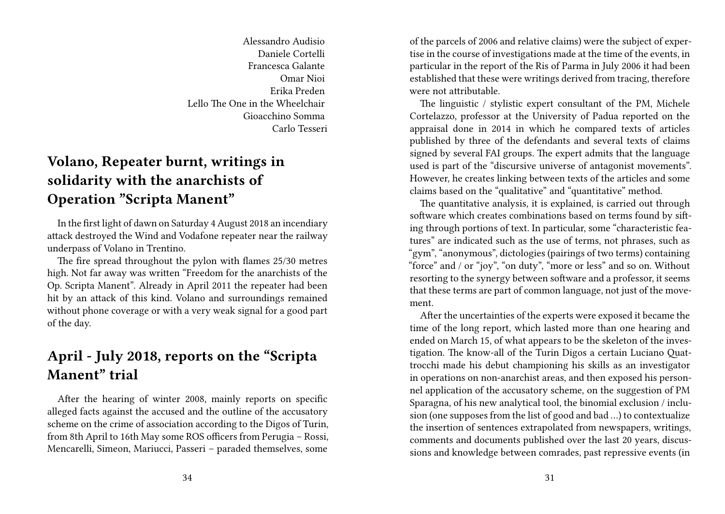Alessandro Audisio Daniele Cortelli Francesca Galante Omar Nioi Erika Preden Lello The One in the Wheelchair Gioacchino Somma Carlo Tesseri

# **Volano, Repeater burnt, writings in solidarity with the anarchists of Operation "Scripta Manent"**

In the first light of dawn on Saturday 4 August 2018 an incendiary attack destroyed the Wind and Vodafone repeater near the railway underpass of Volano in Trentino.

The fire spread throughout the pylon with flames 25/30 metres high. Not far away was written "Freedom for the anarchists of the Op. Scripta Manent". Already in April 2011 the repeater had been hit by an attack of this kind. Volano and surroundings remained without phone coverage or with a very weak signal for a good part of the day.

# **April - July 2018, reports on the "Scripta Manent" trial**

After the hearing of winter 2008, mainly reports on specific alleged facts against the accused and the outline of the accusatory scheme on the crime of association according to the Digos of Turin, from 8th April to 16th May some ROS officers from Perugia – Rossi, Mencarelli, Simeon, Mariucci, Passeri – paraded themselves, some

of the parcels of 2006 and relative claims) were the subject of expertise in the course of investigations made at the time of the events, in particular in the report of the Ris of Parma in July 2006 it had been established that these were writings derived from tracing, therefore were not attributable.

The linguistic / stylistic expert consultant of the PM, Michele Cortelazzo, professor at the University of Padua reported on the appraisal done in 2014 in which he compared texts of articles published by three of the defendants and several texts of claims signed by several FAI groups. The expert admits that the language used is part of the "discursive universe of antagonist movements". However, he creates linking between texts of the articles and some claims based on the "qualitative" and "quantitative" method.

The quantitative analysis, it is explained, is carried out through software which creates combinations based on terms found by sifting through portions of text. In particular, some "characteristic features" are indicated such as the use of terms, not phrases, such as "gym", "anonymous", dictologies (pairings of two terms) containing "force" and / or "joy", "on duty", "more or less" and so on. Without resorting to the synergy between software and a professor, it seems that these terms are part of common language, not just of the movement.

After the uncertainties of the experts were exposed it became the time of the long report, which lasted more than one hearing and ended on March 15, of what appears to be the skeleton of the investigation. The know-all of the Turin Digos a certain Luciano Quattrocchi made his debut championing his skills as an investigator in operations on non-anarchist areas, and then exposed his personnel application of the accusatory scheme, on the suggestion of PM Sparagna, of his new analytical tool, the binomial exclusion / inclusion (one supposes from the list of good and bad …) to contextualize the insertion of sentences extrapolated from newspapers, writings, comments and documents published over the last 20 years, discussions and knowledge between comrades, past repressive events (in